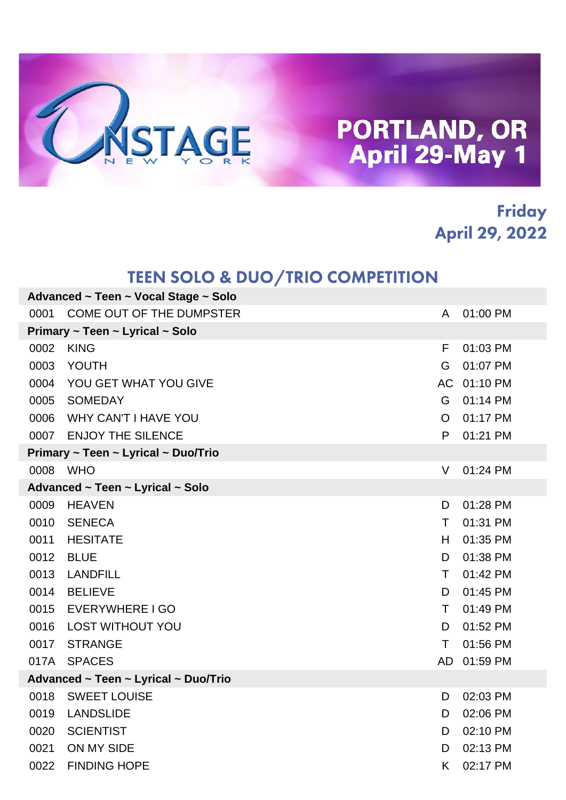

#### **Friday April 29, 2022**

#### **TEEN SOLO & DUO/TRIO COMPETITION**

| Advanced ~ Teen ~ Vocal Stage ~ Solo |                                      |                |          |  |
|--------------------------------------|--------------------------------------|----------------|----------|--|
| 0001                                 | COME OUT OF THE DUMPSTER             | A              | 01:00 PM |  |
|                                      | Primary ~ Teen ~ Lyrical ~ Solo      |                |          |  |
| 0002                                 | <b>KING</b>                          | F              | 01:03 PM |  |
| 0003                                 | YOUTH                                | G              | 01:07 PM |  |
| 0004                                 | YOU GET WHAT YOU GIVE                | AC             | 01:10 PM |  |
| 0005                                 | <b>SOMEDAY</b>                       | G              | 01:14 PM |  |
| 0006                                 | <b>WHY CAN'T I HAVE YOU</b>          | $\overline{O}$ | 01:17 PM |  |
| 0007                                 | <b>ENJOY THE SILENCE</b>             | P              | 01:21 PM |  |
|                                      | Primary ~ Teen ~ Lyrical ~ Duo/Trio  |                |          |  |
| 0008 WHO                             |                                      | V              | 01:24 PM |  |
|                                      | Advanced ~ Teen ~ Lyrical ~ Solo     |                |          |  |
| 0009                                 | <b>HEAVEN</b>                        | D              | 01:28 PM |  |
| 0010                                 | <b>SENECA</b>                        | T.             | 01:31 PM |  |
| 0011                                 | <b>HESITATE</b>                      | H.             | 01:35 PM |  |
| 0012                                 | <b>BLUE</b>                          | D              | 01:38 PM |  |
| 0013                                 | <b>LANDFILL</b>                      | T.             | 01:42 PM |  |
| 0014                                 | <b>BELIEVE</b>                       | D              | 01:45 PM |  |
| 0015                                 | EVERYWHERE I GO                      | T.             | 01:49 PM |  |
| 0016                                 | <b>LOST WITHOUT YOU</b>              | D              | 01:52 PM |  |
| 0017                                 | <b>STRANGE</b>                       | $\top$         | 01:56 PM |  |
| 017A                                 | <b>SPACES</b>                        | AD             | 01:59 PM |  |
|                                      | Advanced ~ Teen ~ Lyrical ~ Duo/Trio |                |          |  |
| 0018                                 | <b>SWEET LOUISE</b>                  | D              | 02:03 PM |  |
| 0019                                 | <b>LANDSLIDE</b>                     | D              | 02:06 PM |  |
| 0020                                 | <b>SCIENTIST</b>                     | D              | 02:10 PM |  |
| 0021                                 | ON MY SIDE                           | D              | 02:13 PM |  |
| 0022                                 | <b>FINDING HOPE</b>                  | K              | 02:17 PM |  |
|                                      |                                      |                |          |  |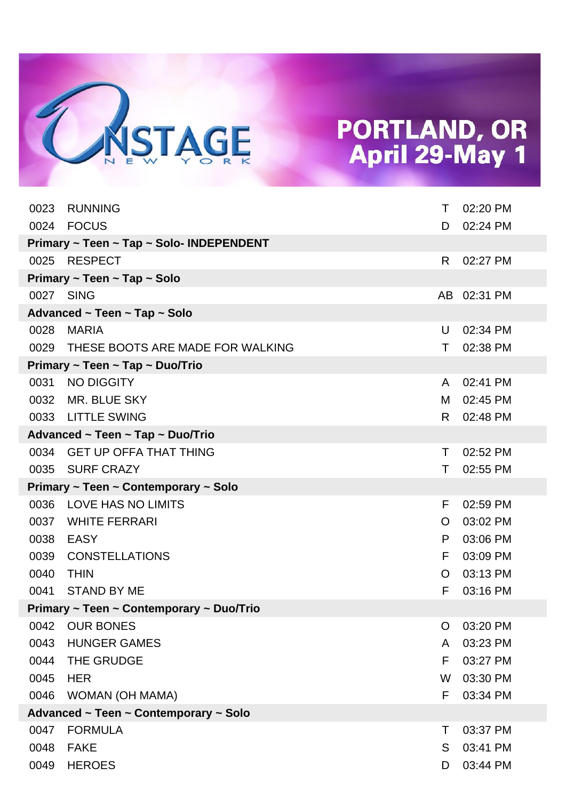

| 0023 | <b>RUNNING</b>                           | Τ  | 02:20 PM    |
|------|------------------------------------------|----|-------------|
|      | 0024 FOCUS                               | D. | 02:24 PM    |
|      | Primary ~ Teen ~ Tap ~ Solo- INDEPENDENT |    |             |
|      | 0025 RESPECT                             | R. | 02:27 PM    |
|      | Primary ~ Teen ~ Tap ~ Solo              |    |             |
|      | 0027 SING                                |    | AB 02:31 PM |
|      | Advanced ~ Teen ~ Tap ~ Solo             |    |             |
| 0028 | <b>MARIA</b>                             | U  | 02:34 PM    |
| 0029 | THESE BOOTS ARE MADE FOR WALKING         | Τ  | 02:38 PM    |
|      | Primary ~ Teen ~ Tap ~ Duo/Trio          |    |             |
| 0031 | NO DIGGITY                               | A  | 02:41 PM    |
| 0032 | MR. BLUE SKY                             | М  | 02:45 PM    |
| 0033 | <b>LITTLE SWING</b>                      | R. | 02:48 PM    |
|      | Advanced ~ Teen ~ Tap ~ Duo/Trio         |    |             |
|      | 0034 GET UP OFFA THAT THING              | т  | 02:52 PM    |
| 0035 | <b>SURF CRAZY</b>                        | Τ  | 02:55 PM    |
|      | Primary ~ Teen ~ Contemporary ~ Solo     |    |             |
| 0036 | LOVE HAS NO LIMITS                       | F  | 02:59 PM    |
| 0037 | <b>WHITE FERRARI</b>                     | O  | 03:02 PM    |
| 0038 | <b>EASY</b>                              | P  | 03:06 PM    |
| 0039 | <b>CONSTELLATIONS</b>                    | F  | 03:09 PM    |
| 0040 | <b>THIN</b>                              | O  | 03:13 PM    |
| 0041 | <b>STAND BY ME</b>                       | F  | 03:16 PM    |
|      | Primary ~ Teen ~ Contemporary ~ Duo/Trio |    |             |
| 0042 | <b>OUR BONES</b>                         | O  | 03:20 PM    |
| 0043 | <b>HUNGER GAMES</b>                      | A  | 03:23 PM    |
| 0044 | THE GRUDGE                               | F  | 03:27 PM    |
| 0045 | <b>HER</b>                               | W  | 03:30 PM    |
| 0046 | WOMAN (OH MAMA)                          | F  | 03:34 PM    |
|      | Advanced ~ Teen ~ Contemporary ~ Solo    |    |             |
| 0047 | <b>FORMULA</b>                           | т  | 03:37 PM    |
| 0048 | <b>FAKE</b>                              | S  | 03:41 PM    |
| 0049 | <b>HEROES</b>                            | D  | 03:44 PM    |
|      |                                          |    |             |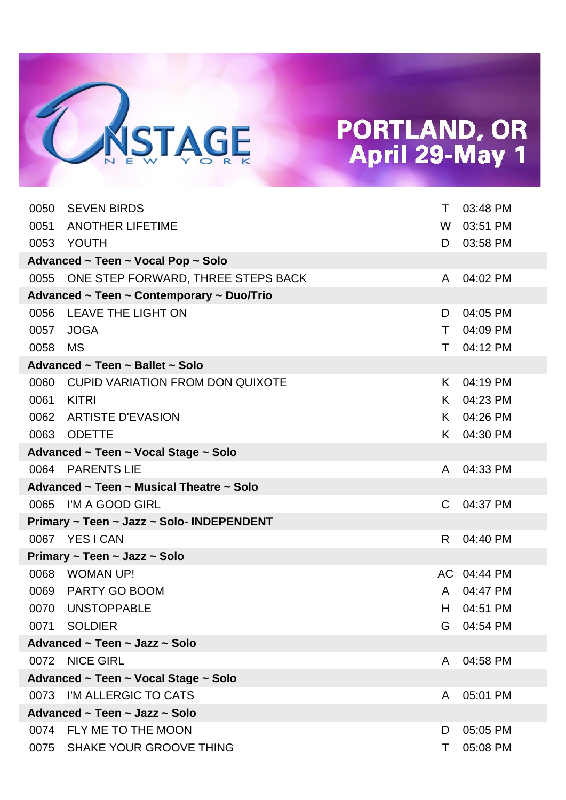

| 0050 | <b>SEVEN BIRDS</b>                        | T. | 03:48 PM    |
|------|-------------------------------------------|----|-------------|
| 0051 | <b>ANOTHER LIFETIME</b>                   | W  | 03:51 PM    |
|      | 0053 YOUTH                                | D  | 03:58 PM    |
|      | Advanced ~ Teen ~ Vocal Pop ~ Solo        |    |             |
|      | 0055 ONE STEP FORWARD, THREE STEPS BACK   | A  | 04:02 PM    |
|      | Advanced ~ Teen ~ Contemporary ~ Duo/Trio |    |             |
| 0056 | LEAVE THE LIGHT ON                        | D  | 04:05 PM    |
| 0057 | <b>JOGA</b>                               | T. | 04:09 PM    |
| 0058 | MS                                        | T. | 04:12 PM    |
|      | Advanced ~ Teen ~ Ballet ~ Solo           |    |             |
| 0060 | <b>CUPID VARIATION FROM DON QUIXOTE</b>   | K. | 04:19 PM    |
| 0061 | <b>KITRI</b>                              | K. | 04:23 PM    |
|      | 0062 ARTISTE D'EVASION                    | K. | 04:26 PM    |
| 0063 | ODETTE                                    | K. | 04:30 PM    |
|      | Advanced ~ Teen ~ Vocal Stage ~ Solo      |    |             |
|      | 0064 PARENTS LIE                          | A  | 04:33 PM    |
|      |                                           |    |             |
|      | Advanced ~ Teen ~ Musical Theatre ~ Solo  |    |             |
|      | 0065 I'M A GOOD GIRL                      | C. | 04:37 PM    |
|      | Primary ~ Teen ~ Jazz ~ Solo- INDEPENDENT |    |             |
|      | 0067 YESICAN                              | R. | 04:40 PM    |
|      | Primary ~ Teen ~ Jazz ~ Solo              |    |             |
| 0068 | WOMAN UP!                                 |    | AC 04:44 PM |
| 0069 | PARTY GO BOOM                             | A  | 04:47 PM    |
| 0070 | <b>UNSTOPPABLE</b>                        | H. | 04:51 PM    |
|      | 0071 SOLDIER                              |    | G 04:54 PM  |
|      | Advanced ~ Teen ~ Jazz ~ Solo             |    |             |
|      | 0072 NICE GIRL                            | A  | 04:58 PM    |
|      | Advanced ~ Teen ~ Vocal Stage ~ Solo      |    |             |
|      | 0073 I'M ALLERGIC TO CATS                 | A  | 05:01 PM    |
|      | Advanced ~ Teen ~ Jazz ~ Solo             |    |             |
|      | 0074 FLY ME TO THE MOON                   | D  | 05:05 PM    |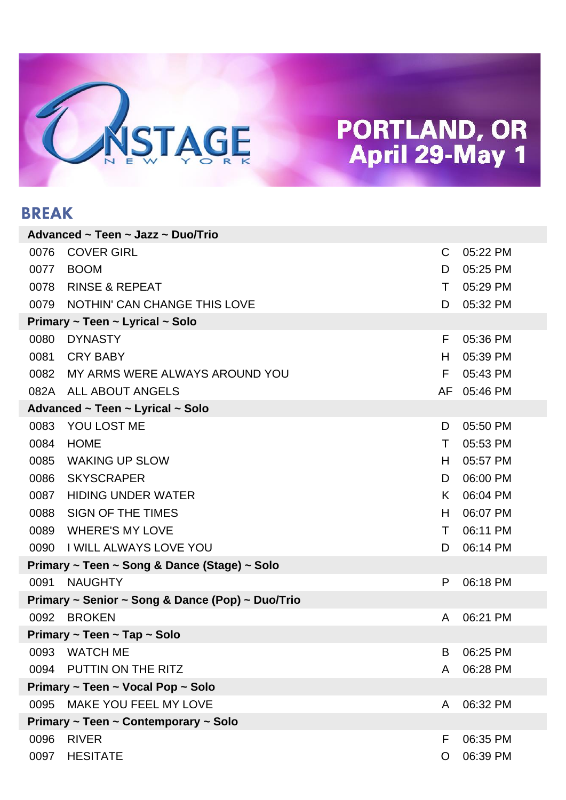

#### **BREAK**

|      | Advanced ~ Teen ~ Jazz ~ Duo/Trio                |              |          |
|------|--------------------------------------------------|--------------|----------|
| 0076 | <b>COVER GIRL</b>                                | $\mathsf{C}$ | 05:22 PM |
| 0077 | <b>BOOM</b>                                      | D            | 05:25 PM |
| 0078 | <b>RINSE &amp; REPEAT</b>                        | T.           | 05:29 PM |
| 0079 | NOTHIN' CAN CHANGE THIS LOVE                     | D            | 05:32 PM |
|      | Primary ~ Teen ~ Lyrical ~ Solo                  |              |          |
| 0080 | <b>DYNASTY</b>                                   | F            | 05:36 PM |
| 0081 | <b>CRY BABY</b>                                  | H.           | 05:39 PM |
| 0082 | MY ARMS WERE ALWAYS AROUND YOU                   | F            | 05:43 PM |
| 082A | ALL ABOUT ANGELS                                 | AF           | 05:46 PM |
|      | Advanced ~ Teen ~ Lyrical ~ Solo                 |              |          |
| 0083 | YOU LOST ME                                      | D            | 05:50 PM |
| 0084 | <b>HOME</b>                                      | T.           | 05:53 PM |
| 0085 | <b>WAKING UP SLOW</b>                            | H.           | 05:57 PM |
| 0086 | <b>SKYSCRAPER</b>                                | D            | 06:00 PM |
| 0087 | <b>HIDING UNDER WATER</b>                        | K.           | 06:04 PM |
| 0088 | <b>SIGN OF THE TIMES</b>                         | H.           | 06:07 PM |
| 0089 | <b>WHERE'S MY LOVE</b>                           | Τ            | 06:11 PM |
| 0090 | <b>I WILL ALWAYS LOVE YOU</b>                    | D            | 06:14 PM |
|      | Primary ~ Teen ~ Song & Dance (Stage) ~ Solo     |              |          |
| 0091 | <b>NAUGHTY</b>                                   | P            | 06:18 PM |
|      | Primary ~ Senior ~ Song & Dance (Pop) ~ Duo/Trio |              |          |
|      | 0092 BROKEN                                      | A            | 06:21 PM |
|      | Primary ~ Teen ~ Tap ~ Solo                      |              |          |
|      | 0093 WATCH ME                                    | B.           | 06:25 PM |
|      | 0094 PUTTIN ON THE RITZ                          | A            | 06:28 PM |
|      | Primary ~ Teen ~ Vocal Pop ~ Solo                |              |          |
|      | 0095 MAKE YOU FEEL MY LOVE                       | A            | 06:32 PM |
|      | Primary ~ Teen ~ Contemporary ~ Solo             |              |          |
| 0096 | <b>RIVER</b>                                     | F            | 06:35 PM |
| 0097 | <b>HESITATE</b>                                  | O            | 06:39 PM |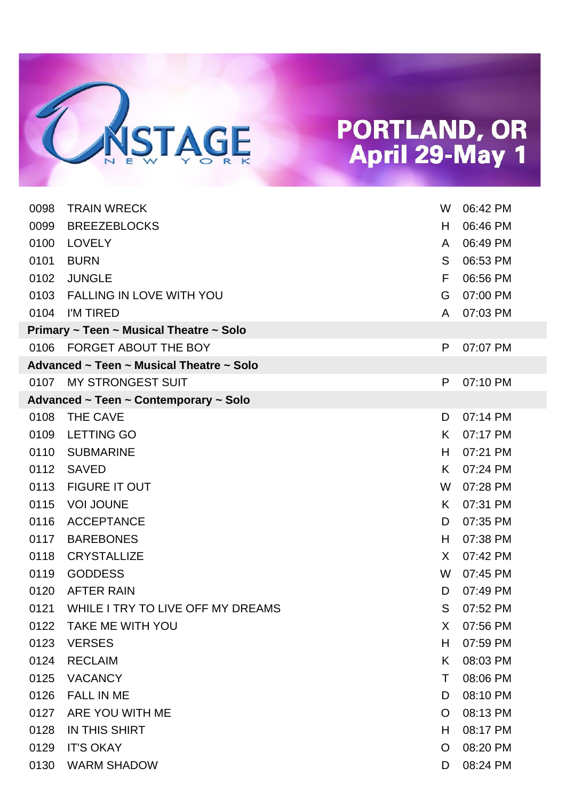

| 0098 | <b>TRAIN WRECK</b>                       | W  | 06:42 PM |
|------|------------------------------------------|----|----------|
| 0099 | <b>BREEZEBLOCKS</b>                      | H  | 06:46 PM |
| 0100 | <b>LOVELY</b>                            | A  | 06:49 PM |
| 0101 | <b>BURN</b>                              | S  | 06:53 PM |
| 0102 | <b>JUNGLE</b>                            | F  | 06:56 PM |
| 0103 | <b>FALLING IN LOVE WITH YOU</b>          | G  | 07:00 PM |
|      | 0104 I'M TIRED                           | A  | 07:03 PM |
|      | Primary ~ Teen ~ Musical Theatre ~ Solo  |    |          |
|      | 0106 FORGET ABOUT THE BOY                | P  | 07:07 PM |
|      | Advanced ~ Teen ~ Musical Theatre ~ Solo |    |          |
|      | 0107 MY STRONGEST SUIT                   | P  | 07:10 PM |
|      | Advanced ~ Teen ~ Contemporary ~ Solo    |    |          |
| 0108 | THE CAVE                                 | D  | 07:14 PM |
| 0109 | <b>LETTING GO</b>                        | K. | 07:17 PM |
| 0110 | <b>SUBMARINE</b>                         | H  | 07:21 PM |
| 0112 | <b>SAVED</b>                             | K  | 07:24 PM |
| 0113 | <b>FIGURE IT OUT</b>                     | W  | 07:28 PM |
| 0115 | <b>VOI JOUNE</b>                         | K. | 07:31 PM |
| 0116 | <b>ACCEPTANCE</b>                        | D  | 07:35 PM |
| 0117 | <b>BAREBONES</b>                         | H  | 07:38 PM |
| 0118 | <b>CRYSTALLIZE</b>                       | X. | 07:42 PM |
| 0119 | <b>GODDESS</b>                           | W  | 07:45 PM |
| 0120 | <b>AFTER RAIN</b>                        | D  | 07:49 PM |
| 0121 | WHILE I TRY TO LIVE OFF MY DREAMS        | S  | 07:52 PM |
| 0122 | TAKE ME WITH YOU                         | X. | 07:56 PM |
| 0123 | <b>VERSES</b>                            | H. | 07:59 PM |
| 0124 | <b>RECLAIM</b>                           | K. | 08:03 PM |
| 0125 | <b>VACANCY</b>                           | Τ  | 08:06 PM |
| 0126 | <b>FALL IN ME</b>                        | D  | 08:10 PM |
| 0127 | ARE YOU WITH ME                          | O  | 08:13 PM |
| 0128 | <b>IN THIS SHIRT</b>                     | H  | 08:17 PM |
| 0129 | <b>IT'S OKAY</b>                         | O  | 08:20 PM |
| 0130 | <b>WARM SHADOW</b>                       | D  | 08:24 PM |
|      |                                          |    |          |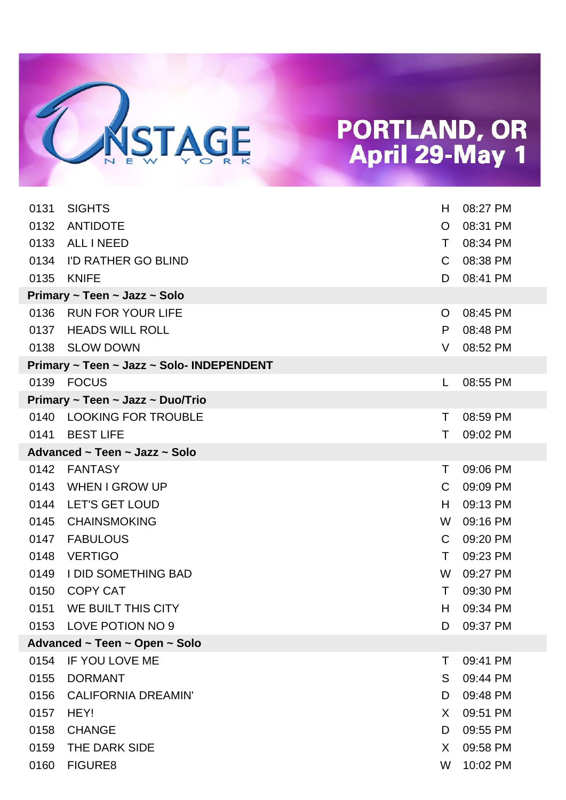

| 0131 | <b>SIGHTS</b>                             | H  | 08:27 PM |
|------|-------------------------------------------|----|----------|
| 0132 | <b>ANTIDOTE</b>                           | O  | 08:31 PM |
| 0133 | ALL I NEED                                | Τ  | 08:34 PM |
| 0134 | I'D RATHER GO BLIND                       | C. | 08:38 PM |
| 0135 | <b>KNIFE</b>                              | D  | 08:41 PM |
|      | Primary ~ Teen ~ Jazz ~ Solo              |    |          |
| 0136 | <b>RUN FOR YOUR LIFE</b>                  | O  | 08:45 PM |
| 0137 | <b>HEADS WILL ROLL</b>                    | P  | 08:48 PM |
|      | 0138 SLOW DOWN                            | V  | 08:52 PM |
|      | Primary ~ Teen ~ Jazz ~ Solo- INDEPENDENT |    |          |
|      | 0139 FOCUS                                | L  | 08:55 PM |
|      | Primary ~ Teen ~ Jazz ~ Duo/Trio          |    |          |
|      | 0140 LOOKING FOR TROUBLE                  | Τ  | 08:59 PM |
| 0141 | <b>BEST LIFE</b>                          | Τ  | 09:02 PM |
|      | Advanced ~ Teen ~ Jazz ~ Solo             |    |          |
| 0142 | FANTASY                                   | T. | 09:06 PM |
| 0143 | <b>WHEN I GROW UP</b>                     | C  | 09:09 PM |
| 0144 | <b>LET'S GET LOUD</b>                     | H  | 09:13 PM |
| 0145 | <b>CHAINSMOKING</b>                       | W  | 09:16 PM |
| 0147 | <b>FABULOUS</b>                           | C  | 09:20 PM |
| 0148 | <b>VERTIGO</b>                            | Τ  | 09:23 PM |
| 0149 | I DID SOMETHING BAD                       | W  | 09:27 PM |
| 0150 | <b>COPY CAT</b>                           | Τ  | 09:30 PM |
| 0151 | WE BUILT THIS CITY                        | H  | 09:34 PM |
|      | 0153 LOVE POTION NO 9                     | D. | 09:37 PM |
|      | Advanced ~ Teen ~ Open ~ Solo             |    |          |
| 0154 | <b>IF YOU LOVE ME</b>                     | Τ  | 09:41 PM |
| 0155 | <b>DORMANT</b>                            | S  | 09:44 PM |
| 0156 | <b>CALIFORNIA DREAMIN'</b>                | D  | 09:48 PM |
| 0157 | HEY!                                      | X. | 09:51 PM |
| 0158 | <b>CHANGE</b>                             | D  | 09:55 PM |
| 0159 | THE DARK SIDE                             | X. | 09:58 PM |
| 0160 | <b>FIGURE8</b>                            | W  | 10:02 PM |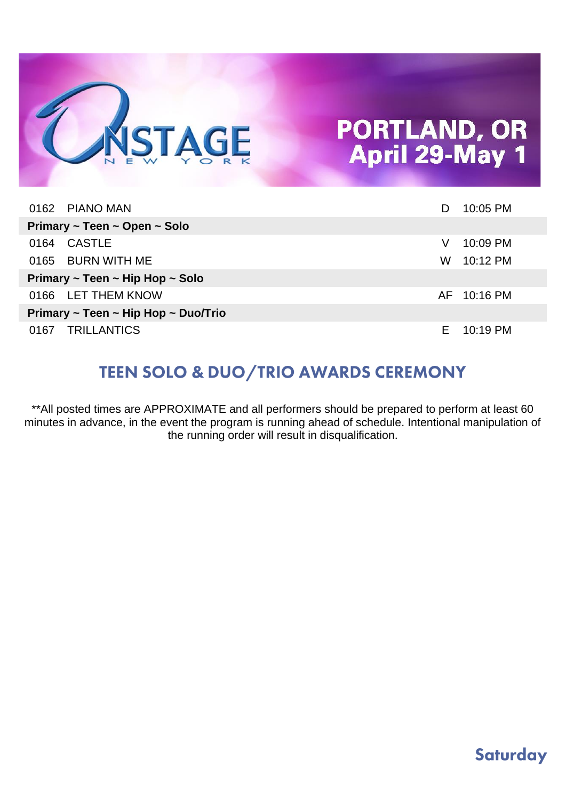

| 0162 PIANO MAN                      | D  | 10:05 PM               |
|-------------------------------------|----|------------------------|
| Primary ~ Teen ~ Open ~ Solo        |    |                        |
| CASTLE<br>0164                      | V  | 10:09 PM               |
| 0165 BURN WITH ME                   | W. | 10:12 PM               |
| Primary ~ Teen ~ Hip Hop ~ Solo     |    |                        |
| 0166 LET THEM KNOW                  |    | AF 10:16 PM            |
| Primary ~ Teen ~ Hip Hop ~ Duo/Trio |    |                        |
| 0167 TRILLANTICS                    |    | $E = 10:19 \text{ PM}$ |

#### **TEEN SOLO & DUO/TRIO AWARDS CEREMONY**

\*\*All posted times are APPROXIMATE and all performers should be prepared to perform at least 60 minutes in advance, in the event the program is running ahead of schedule. Intentional manipulation of the running order will result in disqualification.

#### **Saturday**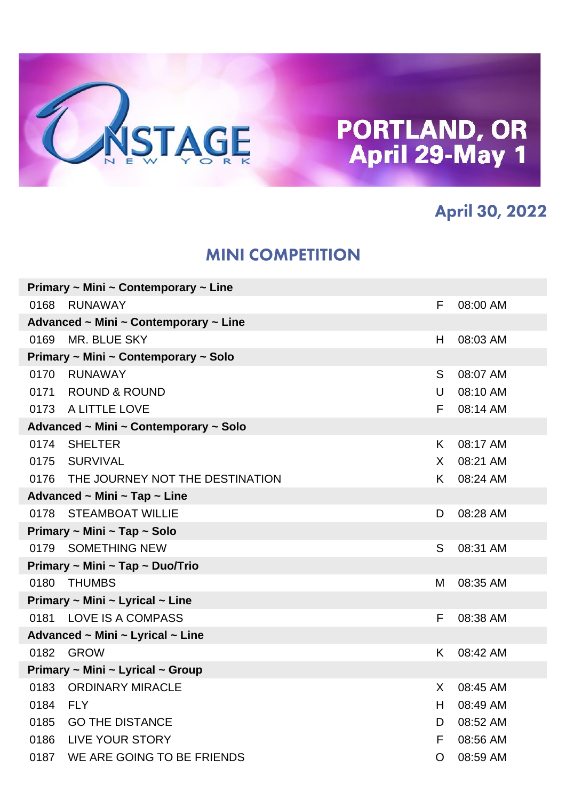

#### **April 30, 2022**

#### **MINI COMPETITION**

| Primary $\sim$ Mini $\sim$ Contemporary $\sim$ Line |                                                |    |          |  |  |  |
|-----------------------------------------------------|------------------------------------------------|----|----------|--|--|--|
| 0168                                                | RUNAWAY                                        | F. | 08:00 AM |  |  |  |
|                                                     | Advanced ~ Mini ~ Contemporary ~ Line          |    |          |  |  |  |
| 0169                                                | MR. BLUE SKY                                   | H  | 08:03 AM |  |  |  |
|                                                     | Primary ~ Mini ~ Contemporary ~ Solo           |    |          |  |  |  |
| 0170                                                | <b>RUNAWAY</b>                                 | S  | 08:07 AM |  |  |  |
|                                                     | 0171 ROUND & ROUND                             | U  | 08:10 AM |  |  |  |
|                                                     | 0173 A LITTLE LOVE                             | F  | 08:14 AM |  |  |  |
|                                                     | Advanced ~ Mini ~ Contemporary ~ Solo          |    |          |  |  |  |
|                                                     | 0174 SHELTER                                   | K. | 08:17 AM |  |  |  |
|                                                     | 0175 SURVIVAL                                  | X. | 08:21 AM |  |  |  |
|                                                     | 0176 THE JOURNEY NOT THE DESTINATION           | K. | 08:24 AM |  |  |  |
|                                                     | Advanced ~ Mini ~ Tap ~ Line                   |    |          |  |  |  |
|                                                     | 0178 STEAMBOAT WILLIE                          | D  | 08:28 AM |  |  |  |
|                                                     | Primary ~ Mini ~ Tap ~ Solo                    |    |          |  |  |  |
|                                                     | 0179 SOMETHING NEW                             | S  | 08:31 AM |  |  |  |
|                                                     | Primary ~ Mini ~ Tap ~ Duo/Trio                |    |          |  |  |  |
| 0180                                                | <b>THUMBS</b>                                  | М  | 08:35 AM |  |  |  |
|                                                     | Primary $\sim$ Mini $\sim$ Lyrical $\sim$ Line |    |          |  |  |  |
|                                                     | 0181 LOVE IS A COMPASS                         | F  | 08:38 AM |  |  |  |
|                                                     | Advanced ~ Mini ~ Lyrical ~ Line               |    |          |  |  |  |
| 0182                                                | GROW                                           | K. | 08:42 AM |  |  |  |
|                                                     | Primary ~ Mini ~ Lyrical ~ Group               |    |          |  |  |  |
|                                                     | 0183 ORDINARY MIRACLE                          | X. | 08:45 AM |  |  |  |
| 0184 FLY                                            |                                                | H  | 08:49 AM |  |  |  |
| 0185                                                | <b>GO THE DISTANCE</b>                         | D  | 08:52 AM |  |  |  |
|                                                     | 0186 LIVE YOUR STORY                           | F  | 08:56 AM |  |  |  |
|                                                     | 0187 WE ARE GOING TO BE FRIENDS                | O  | 08:59 AM |  |  |  |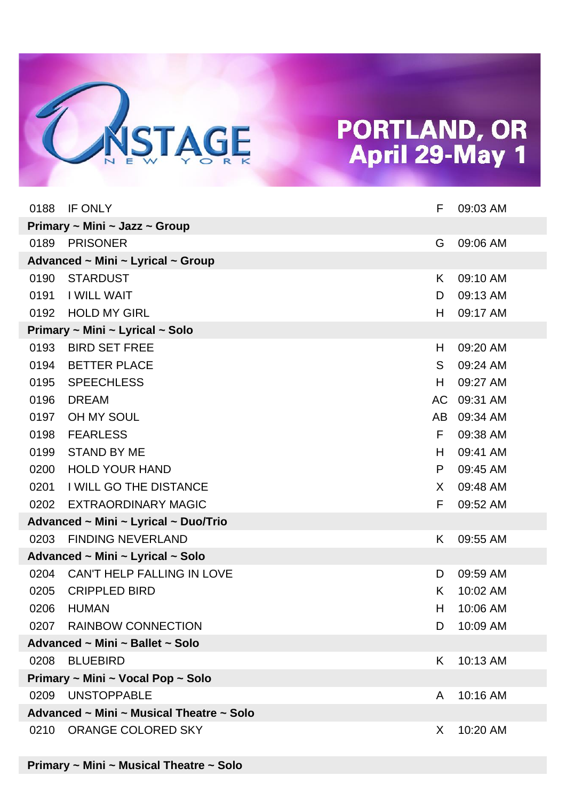

| 0188 | IF ONLY                                  | F  | 09:03 AM |
|------|------------------------------------------|----|----------|
|      | Primary ~ Mini ~ Jazz ~ Group            |    |          |
| 0189 | <b>PRISONER</b>                          | G  | 09:06 AM |
|      | Advanced ~ Mini ~ Lyrical ~ Group        |    |          |
| 0190 | <b>STARDUST</b>                          | K. | 09:10 AM |
| 0191 | <b>I WILL WAIT</b>                       | D  | 09:13 AM |
| 0192 | <b>HOLD MY GIRL</b>                      | H  | 09:17 AM |
|      | Primary ~ Mini ~ Lyrical ~ Solo          |    |          |
| 0193 | <b>BIRD SET FREE</b>                     | H  | 09:20 AM |
| 0194 | <b>BETTER PLACE</b>                      | S  | 09:24 AM |
| 0195 | <b>SPEECHLESS</b>                        | H  | 09:27 AM |
| 0196 | <b>DREAM</b>                             | AC | 09:31 AM |
| 0197 | OH MY SOUL                               | AB | 09:34 AM |
| 0198 | <b>FEARLESS</b>                          | F. | 09:38 AM |
| 0199 | <b>STAND BY ME</b>                       | H  | 09:41 AM |
| 0200 | <b>HOLD YOUR HAND</b>                    | P  | 09:45 AM |
| 0201 | <b>I WILL GO THE DISTANCE</b>            | X. | 09:48 AM |
| 0202 | <b>EXTRAORDINARY MAGIC</b>               | F. | 09:52 AM |
|      | Advanced ~ Mini ~ Lyrical ~ Duo/Trio     |    |          |
| 0203 | <b>FINDING NEVERLAND</b>                 | K  | 09:55 AM |
|      | Advanced ~ Mini ~ Lyrical ~ Solo         |    |          |
| 0204 | CAN'T HELP FALLING IN LOVE               | D  | 09:59 AM |
| 0205 | <b>CRIPPLED BIRD</b>                     | K  | 10:02 AM |
| 0206 | <b>HUMAN</b>                             | H  | 10:06 AM |
|      | 0207 RAINBOW CONNECTION                  | D  | 10:09 AM |
|      | Advanced ~ Mini ~ Ballet ~ Solo          |    |          |
|      | 0208 BLUEBIRD                            | K. | 10:13 AM |
|      | Primary ~ Mini ~ Vocal Pop ~ Solo        |    |          |
|      | 0209 UNSTOPPABLE                         | A  | 10:16 AM |
|      | Advanced ~ Mini ~ Musical Theatre ~ Solo |    |          |
| 0210 | ORANGE COLORED SKY                       | X. | 10:20 AM |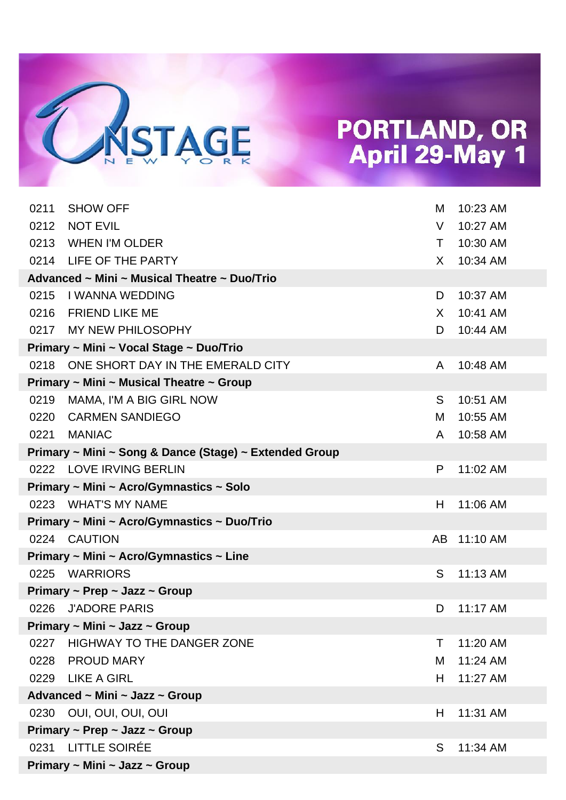

| 0211                          | <b>SHOW OFF</b>                                        | м  | 10:23 AM |  |
|-------------------------------|--------------------------------------------------------|----|----------|--|
| 0212                          | <b>NOT EVIL</b>                                        | V  | 10:27 AM |  |
| 0213                          | <b>WHEN I'M OLDER</b>                                  | T. | 10:30 AM |  |
|                               | 0214 LIFE OF THE PARTY                                 | X  | 10:34 AM |  |
|                               | Advanced ~ Mini ~ Musical Theatre ~ Duo/Trio           |    |          |  |
| 0215                          | <b>I WANNA WEDDING</b>                                 | D  | 10:37 AM |  |
|                               | 0216 FRIEND LIKE ME                                    | X  | 10:41 AM |  |
|                               | 0217 MY NEW PHILOSOPHY                                 | D  | 10:44 AM |  |
|                               | Primary ~ Mini ~ Vocal Stage ~ Duo/Trio                |    |          |  |
|                               | 0218 ONE SHORT DAY IN THE EMERALD CITY                 | A  | 10:48 AM |  |
|                               | Primary ~ Mini ~ Musical Theatre ~ Group               |    |          |  |
| 0219                          | MAMA, I'M A BIG GIRL NOW                               | S. | 10:51 AM |  |
| 0220                          | <b>CARMEN SANDIEGO</b>                                 | М  | 10:55 AM |  |
| 0221                          | <b>MANIAC</b>                                          | A  | 10:58 AM |  |
|                               | Primary ~ Mini ~ Song & Dance (Stage) ~ Extended Group |    |          |  |
|                               | 0222 LOVE IRVING BERLIN                                | P  | 11:02 AM |  |
|                               | Primary ~ Mini ~ Acro/Gymnastics ~ Solo                |    |          |  |
|                               | 0223 WHAT'S MY NAME                                    | H. | 11:06 AM |  |
|                               | Primary ~ Mini ~ Acro/Gymnastics ~ Duo/Trio            |    |          |  |
|                               | 0224 CAUTION                                           | AB | 11:10 AM |  |
|                               | Primary ~ Mini ~ Acro/Gymnastics ~ Line                |    |          |  |
|                               | 0225 WARRIORS                                          | S  | 11:13 AM |  |
|                               | Primary $\sim$ Prep $\sim$ Jazz $\sim$ Group           |    |          |  |
| 0226                          | <b>J'ADORE PARIS</b>                                   | D  | 11:17 AM |  |
|                               | Primary ~ Mini ~ Jazz ~ Group                          |    |          |  |
| 0227                          | <b>HIGHWAY TO THE DANGER ZONE</b>                      | Τ  | 11:20 AM |  |
| 0228                          | PROUD MARY                                             | M  | 11:24 AM |  |
|                               | 0229 LIKE A GIRL                                       | H. | 11:27 AM |  |
|                               | Advanced ~ Mini ~ Jazz ~ Group                         |    |          |  |
| 0230                          | OUI, OUI, OUI, OUI                                     | H  | 11:31 AM |  |
|                               | Primary $\sim$ Prep $\sim$ Jazz $\sim$ Group           |    |          |  |
| 0231                          | LITTLE SOIRÉE                                          | S  | 11:34 AM |  |
| Primary ~ Mini ~ Jazz ~ Group |                                                        |    |          |  |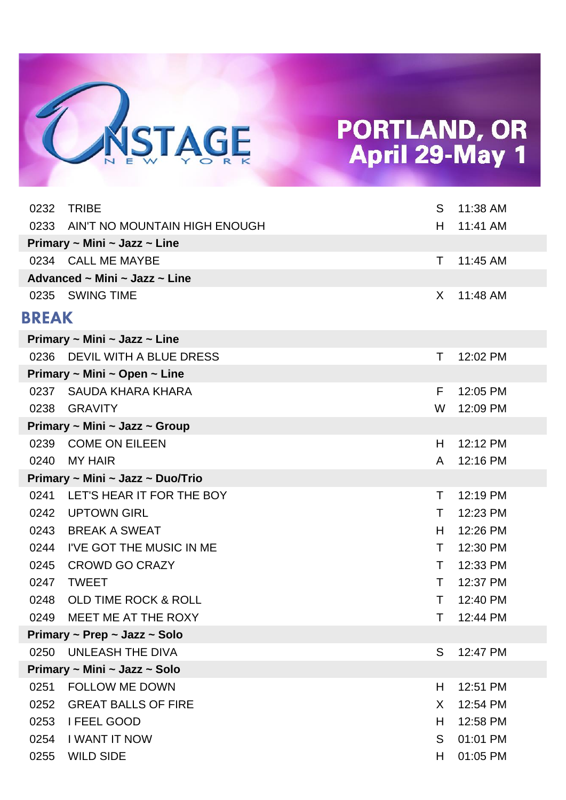

| 0232         | <b>TRIBE</b>                     | S  | 11:38 AM |
|--------------|----------------------------------|----|----------|
| 0233         | AIN'T NO MOUNTAIN HIGH ENOUGH    | H. | 11:41 AM |
|              | Primary ~ Mini ~ Jazz ~ Line     |    |          |
|              | 0234 CALL ME MAYBE               | T. | 11:45 AM |
|              | Advanced ~ Mini ~ Jazz ~ Line    |    |          |
|              | 0235 SWING TIME                  | X. | 11:48 AM |
| <b>BREAK</b> |                                  |    |          |
|              | Primary ~ Mini ~ Jazz ~ Line     |    |          |
| 0236         | DEVIL WITH A BLUE DRESS          | Τ  | 12:02 PM |
|              | Primary ~ Mini ~ Open ~ Line     |    |          |
| 0237         | SAUDA KHARA KHARA                | F. | 12:05 PM |
| 0238         | <b>GRAVITY</b>                   | W  | 12:09 PM |
|              | Primary ~ Mini ~ Jazz ~ Group    |    |          |
| 0239         | <b>COME ON EILEEN</b>            | H  | 12:12 PM |
| 0240         | <b>MY HAIR</b>                   | A  | 12:16 PM |
|              | Primary ~ Mini ~ Jazz ~ Duo/Trio |    |          |
| 0241         | LET'S HEAR IT FOR THE BOY        | T  | 12:19 PM |
| 0242         | <b>UPTOWN GIRL</b>               | Τ  | 12:23 PM |
| 0243         | BREAK A SWEAT                    | H. | 12:26 PM |
| 0244         | I'VE GOT THE MUSIC IN ME         | T  | 12:30 PM |
| 0245         | <b>CROWD GO CRAZY</b>            | Τ  | 12:33 PM |
| 0247         | <b>TWEET</b>                     | Τ  | 12:37 PM |
| 0248         | <b>OLD TIME ROCK &amp; ROLL</b>  | Τ  | 12:40 PM |
| 0249         | MEET ME AT THE ROXY              | Τ  | 12:44 PM |
|              | Primary ~ Prep ~ Jazz ~ Solo     |    |          |
| 0250         | UNLEASH THE DIVA                 | S  | 12:47 PM |
|              | Primary ~ Mini ~ Jazz ~ Solo     |    |          |
| 0251         | <b>FOLLOW ME DOWN</b>            | H  | 12:51 PM |
| 0252         | <b>GREAT BALLS OF FIRE</b>       | X  | 12:54 PM |
| 0253         | I FEEL GOOD                      | H. | 12:58 PM |
| 0254         | <b>I WANT IT NOW</b>             | S  | 01:01 PM |
| 0255         | <b>WILD SIDE</b>                 | H  | 01:05 PM |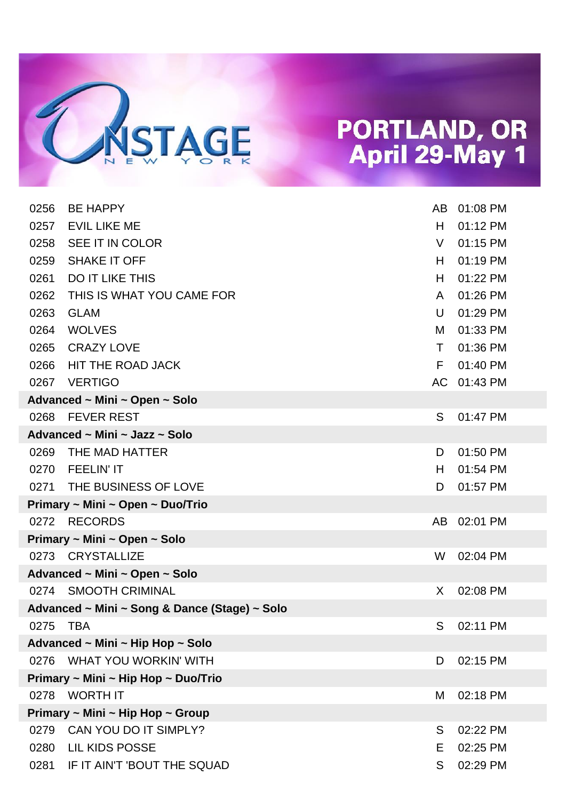

| 0256                                | <b>BE HAPPY</b>                               | AB.    | 01:08 PM    |  |
|-------------------------------------|-----------------------------------------------|--------|-------------|--|
| 0257                                | <b>EVIL LIKE ME</b>                           | H.     | 01:12 PM    |  |
| 0258                                | SEE IT IN COLOR                               | V      | 01:15 PM    |  |
| 0259                                | <b>SHAKE IT OFF</b>                           | H.     | 01:19 PM    |  |
| 0261                                | <b>DO IT LIKE THIS</b>                        | H.     | 01:22 PM    |  |
| 0262                                | THIS IS WHAT YOU CAME FOR                     | A      | 01:26 PM    |  |
| 0263                                | <b>GLAM</b>                                   | $\cup$ | 01:29 PM    |  |
| 0264                                | <b>WOLVES</b>                                 | м      | 01:33 PM    |  |
| 0265                                | <b>CRAZY LOVE</b>                             | T.     | 01:36 PM    |  |
| 0266                                | HIT THE ROAD JACK                             | F      | 01:40 PM    |  |
| 0267                                | <b>VERTIGO</b>                                |        | AC 01:43 PM |  |
|                                     | Advanced ~ Mini ~ Open ~ Solo                 |        |             |  |
| 0268                                | <b>FEVER REST</b>                             | S      | 01:47 PM    |  |
|                                     | Advanced ~ Mini ~ Jazz ~ Solo                 |        |             |  |
| 0269                                | THE MAD HATTER                                | D      | 01:50 PM    |  |
| 0270                                | <b>FEELIN'IT</b>                              | H      | 01:54 PM    |  |
|                                     | 0271 THE BUSINESS OF LOVE                     | D      | 01:57 PM    |  |
|                                     | Primary ~ Mini ~ Open ~ Duo/Trio              |        |             |  |
|                                     | 0272 RECORDS                                  | AB.    | 02:01 PM    |  |
|                                     | Primary ~ Mini ~ Open ~ Solo                  |        |             |  |
|                                     | 0273 CRYSTALLIZE                              | W      | 02:04 PM    |  |
|                                     | Advanced ~ Mini ~ Open ~ Solo                 |        |             |  |
|                                     | 0274 SMOOTH CRIMINAL                          | X.     | 02:08 PM    |  |
|                                     | Advanced ~ Mini ~ Song & Dance (Stage) ~ Solo |        |             |  |
| 0275 TBA                            |                                               | S      | 02:11 PM    |  |
|                                     | Advanced ~ Mini ~ Hip Hop ~ Solo              |        |             |  |
|                                     | 0276 WHAT YOU WORKIN' WITH                    | D      | 02:15 PM    |  |
| Primary ~ Mini ~ Hip Hop ~ Duo/Trio |                                               |        |             |  |
| 0278                                | WORTH IT                                      | Μ      | 02:18 PM    |  |
|                                     | Primary ~ Mini ~ Hip Hop ~ Group              |        |             |  |
| 0279                                | CAN YOU DO IT SIMPLY?                         | S      | 02:22 PM    |  |
| 0280                                | <b>LIL KIDS POSSE</b>                         | Е      | 02:25 PM    |  |
| 0281                                | IF IT AIN'T 'BOUT THE SQUAD                   | S      | 02:29 PM    |  |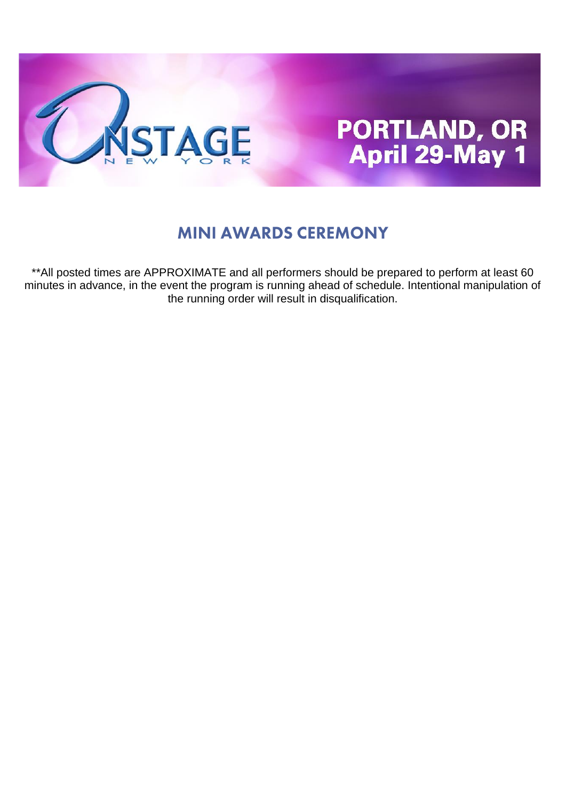

#### **MINI AWARDS CEREMONY**

\*\*All posted times are APPROXIMATE and all performers should be prepared to perform at least 60 minutes in advance, in the event the program is running ahead of schedule. Intentional manipulation of the running order will result in disqualification.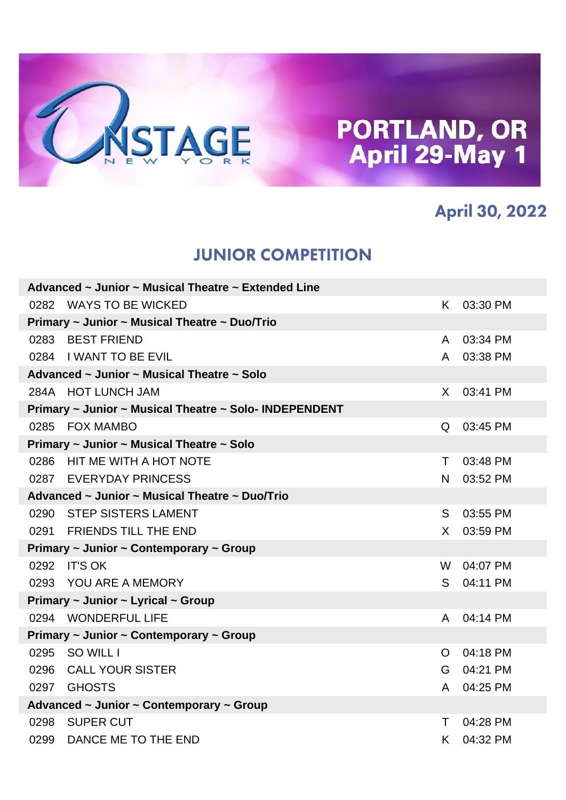

#### **April 30, 2022**

#### **JUNIOR COMPETITION**

| Advanced ~ Junior ~ Musical Theatre ~ Extended Line |                                                        |              |          |  |  |
|-----------------------------------------------------|--------------------------------------------------------|--------------|----------|--|--|
|                                                     | 0282 WAYS TO BE WICKED                                 | K.           | 03:30 PM |  |  |
|                                                     | Primary ~ Junior ~ Musical Theatre ~ Duo/Trio          |              |          |  |  |
|                                                     | 0283 BEST FRIEND                                       | A            | 03:34 PM |  |  |
|                                                     | 0284 I WANT TO BE EVIL                                 | A            | 03:38 PM |  |  |
|                                                     | Advanced ~ Junior ~ Musical Theatre ~ Solo             |              |          |  |  |
|                                                     | 284A HOT LUNCH JAM                                     | $\mathsf{X}$ | 03:41 PM |  |  |
|                                                     | Primary ~ Junior ~ Musical Theatre ~ Solo- INDEPENDENT |              |          |  |  |
|                                                     | 0285 FOX MAMBO                                         | Q            | 03:45 PM |  |  |
|                                                     | Primary ~ Junior ~ Musical Theatre ~ Solo              |              |          |  |  |
|                                                     | 0286 HIT ME WITH A HOT NOTE                            | T.           | 03:48 PM |  |  |
|                                                     | 0287 EVERYDAY PRINCESS                                 | N.           | 03:52 PM |  |  |
|                                                     | Advanced ~ Junior ~ Musical Theatre ~ Duo/Trio         |              |          |  |  |
|                                                     | 0290 STEP SISTERS LAMENT                               | S            | 03:55 PM |  |  |
|                                                     | 0291 FRIENDS TILL THE END                              | $\mathsf{X}$ | 03:59 PM |  |  |
|                                                     | Primary ~ Junior ~ Contemporary ~ Group                |              |          |  |  |
|                                                     | 0292 IT'S OK                                           | W            | 04:07 PM |  |  |
|                                                     | 0293 YOU ARE A MEMORY                                  | S.           | 04:11 PM |  |  |
|                                                     | Primary ~ Junior ~ Lyrical ~ Group                     |              |          |  |  |
|                                                     | 0294 WONDERFUL LIFE                                    | A            | 04:14 PM |  |  |
|                                                     | Primary ~ Junior ~ Contemporary ~ Group                |              |          |  |  |
|                                                     | 0295 SO WILL I                                         | O            | 04:18 PM |  |  |
|                                                     | 0296 CALL YOUR SISTER                                  | G            | 04:21 PM |  |  |
|                                                     | 0297 GHOSTS                                            | A            | 04:25 PM |  |  |
|                                                     | Advanced ~ Junior ~ Contemporary ~ Group               |              |          |  |  |
|                                                     | 0298 SUPER CUT                                         | T.           | 04:28 PM |  |  |
|                                                     | 0299 DANCE ME TO THE END                               | K.           | 04:32 PM |  |  |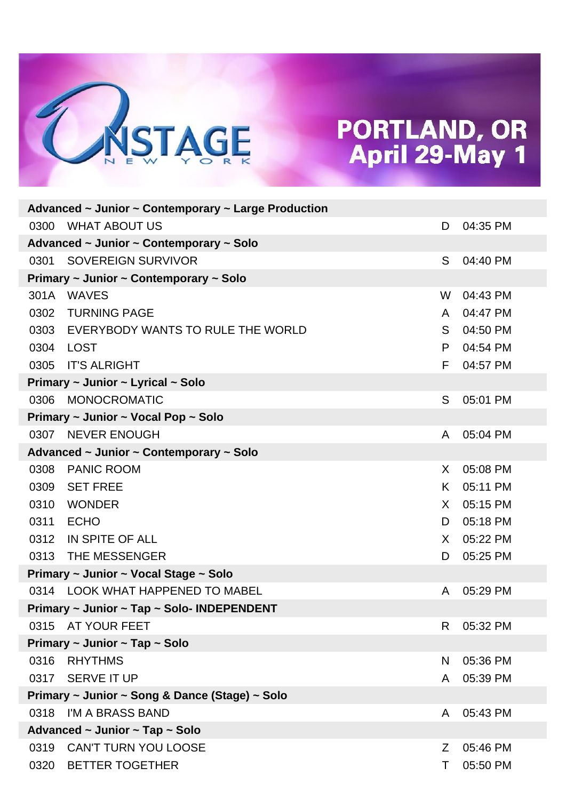

| Advanced $\sim$ Junior $\sim$ Contemporary $\sim$ Large Production |                                                |              |          |  |  |
|--------------------------------------------------------------------|------------------------------------------------|--------------|----------|--|--|
| 0300                                                               | WHAT ABOUT US                                  | D            | 04:35 PM |  |  |
|                                                                    | Advanced ~ Junior ~ Contemporary ~ Solo        |              |          |  |  |
| 0301                                                               | <b>SOVEREIGN SURVIVOR</b>                      | S.           | 04:40 PM |  |  |
|                                                                    | Primary ~ Junior ~ Contemporary ~ Solo         |              |          |  |  |
|                                                                    | 301A WAVES                                     | W            | 04:43 PM |  |  |
| 0302                                                               | <b>TURNING PAGE</b>                            | A            | 04:47 PM |  |  |
|                                                                    | 0303 EVERYBODY WANTS TO RULE THE WORLD         | S            | 04:50 PM |  |  |
|                                                                    | 0304 LOST                                      | P            | 04:54 PM |  |  |
| 0305                                                               | <b>IT'S ALRIGHT</b>                            | F.           | 04:57 PM |  |  |
|                                                                    | Primary ~ Junior ~ Lyrical ~ Solo              |              |          |  |  |
| 0306                                                               | MONOCROMATIC                                   | S            | 05:01 PM |  |  |
|                                                                    | Primary ~ Junior ~ Vocal Pop ~ Solo            |              |          |  |  |
|                                                                    | 0307 NEVER ENOUGH                              | A            | 05:04 PM |  |  |
|                                                                    | Advanced ~ Junior ~ Contemporary ~ Solo        |              |          |  |  |
| 0308                                                               | <b>PANIC ROOM</b>                              | $\mathsf{X}$ | 05:08 PM |  |  |
| 0309                                                               | <b>SET FREE</b>                                | K.           | 05:11 PM |  |  |
| 0310                                                               | <b>WONDER</b>                                  | $\mathsf{X}$ | 05:15 PM |  |  |
| 0311                                                               | <b>ECHO</b>                                    | D            | 05:18 PM |  |  |
| 0312                                                               | IN SPITE OF ALL                                | X.           | 05:22 PM |  |  |
|                                                                    | 0313 THE MESSENGER                             | D            | 05:25 PM |  |  |
|                                                                    | Primary ~ Junior ~ Vocal Stage ~ Solo          |              |          |  |  |
|                                                                    | 0314 LOOK WHAT HAPPENED TO MABEL               | A            | 05:29 PM |  |  |
|                                                                    | Primary ~ Junior ~ Tap ~ Solo- INDEPENDENT     |              |          |  |  |
|                                                                    | 0315 AT YOUR FEET                              | R            | 05:32 PM |  |  |
|                                                                    | Primary ~ Junior ~ Tap ~ Solo                  |              |          |  |  |
| 0316                                                               | <b>RHYTHMS</b>                                 | N            | 05:36 PM |  |  |
| 0317                                                               | <b>SERVE IT UP</b>                             | A            | 05:39 PM |  |  |
|                                                                    | Primary ~ Junior ~ Song & Dance (Stage) ~ Solo |              |          |  |  |
| 0318                                                               | I'M A BRASS BAND                               | A            | 05:43 PM |  |  |
|                                                                    | Advanced ~ Junior ~ Tap ~ Solo                 |              |          |  |  |
| 0319                                                               | CAN'T TURN YOU LOOSE                           | Z            | 05:46 PM |  |  |
| 0320                                                               | <b>BETTER TOGETHER</b>                         | Τ            | 05:50 PM |  |  |
|                                                                    |                                                |              |          |  |  |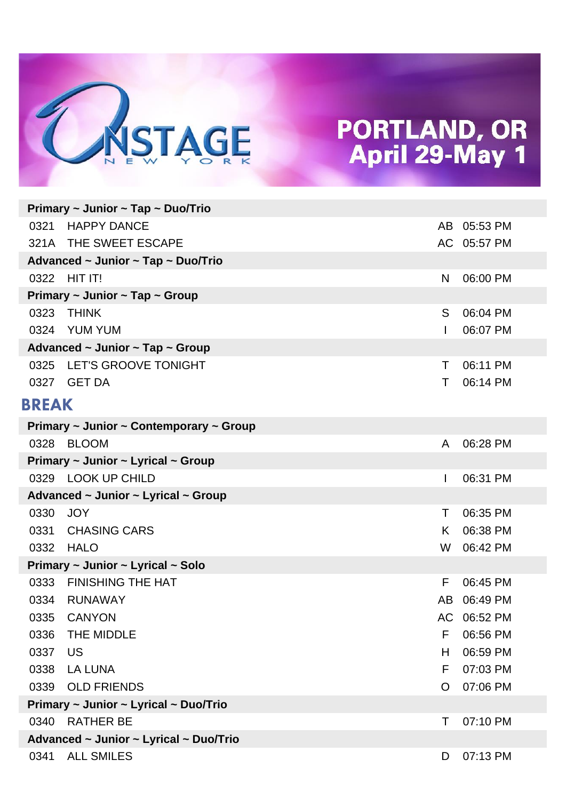

|              | Primary ~ Junior ~ Tap ~ Duo/Trio             |              |             |
|--------------|-----------------------------------------------|--------------|-------------|
| 0321         | <b>HAPPY DANCE</b>                            | AB           | 05:53 PM    |
|              | 321A THE SWEET ESCAPE                         |              | AC 05:57 PM |
|              | Advanced ~ Junior ~ Tap ~ Duo/Trio            |              |             |
| 0322         | HITIT!                                        | N            | 06:00 PM    |
|              | Primary $\sim$ Junior $\sim$ Tap $\sim$ Group |              |             |
| 0323         | <b>THINK</b>                                  | S            | 06:04 PM    |
| 0324         | YUM YUM                                       |              | 06:07 PM    |
|              | Advanced ~ Junior ~ Tap ~ Group               |              |             |
| 0325         | LET'S GROOVE TONIGHT                          | Τ            | 06:11 PM    |
|              | 0327 GET DA                                   | Τ            | 06:14 PM    |
| <b>BREAK</b> |                                               |              |             |
|              | Primary ~ Junior ~ Contemporary ~ Group       |              |             |
| 0328         | <b>BLOOM</b>                                  | A            | 06:28 PM    |
|              | Primary ~ Junior ~ Lyrical ~ Group            |              |             |
|              | 0329 LOOK UP CHILD                            | $\mathsf{l}$ | 06:31 PM    |
|              | Advanced ~ Junior ~ Lyrical ~ Group           |              |             |
| 0330         | <b>JOY</b>                                    | Τ            | 06:35 PM    |
| 0331         | <b>CHASING CARS</b>                           | K.           | 06:38 PM    |
| 0332         | HALO                                          | W            | 06:42 PM    |
|              | Primary ~ Junior ~ Lyrical ~ Solo             |              |             |
| 0333         | <b>FINISHING THE HAT</b>                      | F            | 06:45 PM    |
| 0334         | RUNAWAY                                       | AB.          | 06:49 PM    |
| 0335         | <b>CANYON</b>                                 |              | AC 06:52 PM |
| 0336         | THE MIDDLE                                    | F            | 06:56 PM    |
| 0337         | US                                            | H            | 06:59 PM    |
| 0338         | <b>LA LUNA</b>                                | F            | 07:03 PM    |
| 0339         | <b>OLD FRIENDS</b>                            | O            | 07:06 PM    |
|              | Primary ~ Junior ~ Lyrical ~ Duo/Trio         |              |             |
| 0340         | <b>RATHER BE</b>                              | Τ            | 07:10 PM    |
|              | Advanced ~ Junior ~ Lyrical ~ Duo/Trio        |              |             |
| 0341         | <b>ALL SMILES</b>                             | D            | 07:13 PM    |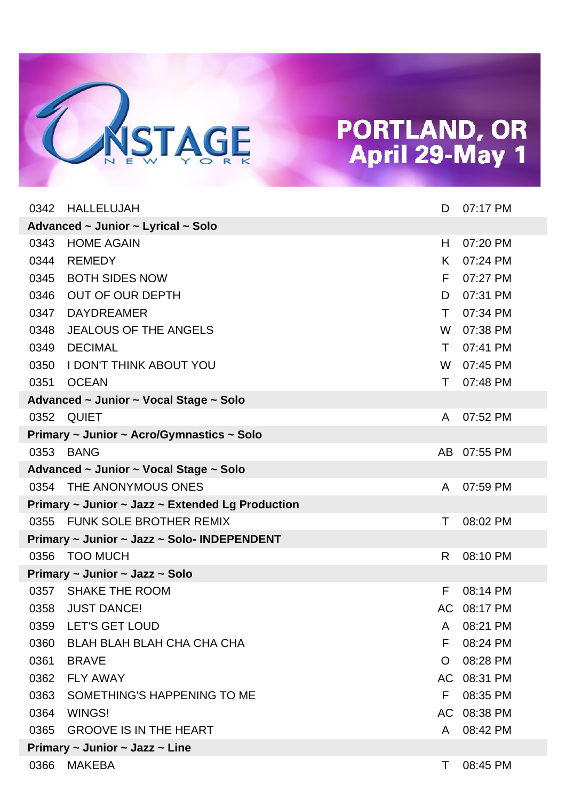

| 0342                               | HALLELUJAH                                       | D            | 07:17 PM    |  |  |  |
|------------------------------------|--------------------------------------------------|--------------|-------------|--|--|--|
| Advanced ~ Junior ~ Lyrical ~ Solo |                                                  |              |             |  |  |  |
| 0343                               | <b>HOME AGAIN</b>                                | H            | 07:20 PM    |  |  |  |
| 0344                               | <b>REMEDY</b>                                    | K.           | 07:24 PM    |  |  |  |
| 0345                               | <b>BOTH SIDES NOW</b>                            | F            | 07:27 PM    |  |  |  |
| 0346                               | <b>OUT OF OUR DEPTH</b>                          | D            | 07:31 PM    |  |  |  |
| 0347                               | <b>DAYDREAMER</b>                                | т            | 07:34 PM    |  |  |  |
| 0348                               | <b>JEALOUS OF THE ANGELS</b>                     | W            | 07:38 PM    |  |  |  |
| 0349                               | <b>DECIMAL</b>                                   | T.           | 07:41 PM    |  |  |  |
| 0350                               | <b>I DON'T THINK ABOUT YOU</b>                   | W            | 07:45 PM    |  |  |  |
| 0351                               | <b>OCEAN</b>                                     | Τ            | 07:48 PM    |  |  |  |
|                                    | Advanced ~ Junior ~ Vocal Stage ~ Solo           |              |             |  |  |  |
|                                    | 0352 QUIET                                       | A            | 07:52 PM    |  |  |  |
|                                    | Primary ~ Junior ~ Acro/Gymnastics ~ Solo        |              |             |  |  |  |
| 0353                               | <b>BANG</b>                                      |              | AB 07:55 PM |  |  |  |
|                                    | Advanced ~ Junior ~ Vocal Stage ~ Solo           |              |             |  |  |  |
|                                    | 0354 THE ANONYMOUS ONES                          | A            | 07:59 PM    |  |  |  |
|                                    | Primary ~ Junior ~ Jazz ~ Extended Lg Production |              |             |  |  |  |
|                                    | 0355 FUNK SOLE BROTHER REMIX                     | Τ            | 08:02 PM    |  |  |  |
|                                    | Primary ~ Junior ~ Jazz ~ Solo- INDEPENDENT      |              |             |  |  |  |
| 0356                               | <b>TOO MUCH</b>                                  | R            | 08:10 PM    |  |  |  |
|                                    | Primary $\sim$ Junior $\sim$ Jazz $\sim$ Solo    |              |             |  |  |  |
|                                    | 0357 SHAKE THE ROOM                              | F            | 08:14 PM    |  |  |  |
| 0358                               | <b>JUST DANCE!</b>                               |              | AC 08:17 PM |  |  |  |
|                                    | 0359 LET'S GET LOUD                              | $\mathsf{A}$ | 08:21 PM    |  |  |  |
| 0360                               | BLAH BLAH BLAH CHA CHA CHA                       | F            | 08:24 PM    |  |  |  |
| 0361                               | <b>BRAVE</b>                                     | O            | 08:28 PM    |  |  |  |
| 0362                               | <b>FLY AWAY</b>                                  |              | AC 08:31 PM |  |  |  |
| 0363                               | SOMETHING'S HAPPENING TO ME                      | F.           | 08:35 PM    |  |  |  |
| 0364                               | WINGS!                                           |              | AC 08:38 PM |  |  |  |
| 0365                               | <b>GROOVE IS IN THE HEART</b>                    | A            | 08:42 PM    |  |  |  |
|                                    | Primary $\sim$ Junior $\sim$ Jazz $\sim$ Line    |              |             |  |  |  |
| 0366                               | MAKEBA                                           | Τ            | 08:45 PM    |  |  |  |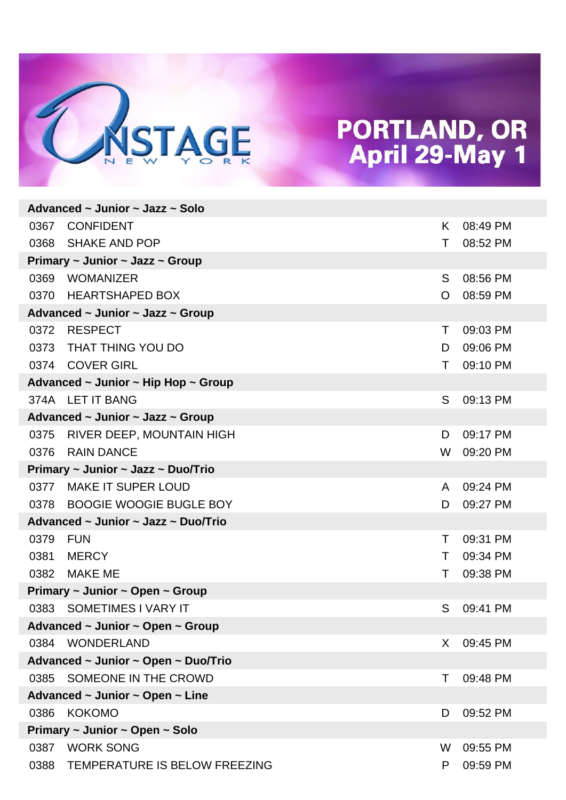

|      | Advanced ~ Junior ~ Jazz ~ Solo                    |         |          |
|------|----------------------------------------------------|---------|----------|
| 0367 | <b>CONFIDENT</b>                                   | K.      | 08:49 PM |
|      | 0368 SHAKE AND POP                                 | Τ       | 08:52 PM |
|      | Primary $\sim$ Junior $\sim$ Jazz $\sim$ Group     |         |          |
| 0369 | WOMANIZER                                          | S       | 08:56 PM |
|      | 0370 HEARTSHAPED BOX                               | $\circ$ | 08:59 PM |
|      | Advanced ~ Junior ~ Jazz ~ Group                   |         |          |
| 0372 | <b>RESPECT</b>                                     | Τ       | 09:03 PM |
| 0373 | THAT THING YOU DO                                  | D       | 09:06 PM |
|      | 0374 COVER GIRL                                    | Τ       | 09:10 PM |
|      | Advanced $\sim$ Junior $\sim$ Hip Hop $\sim$ Group |         |          |
|      | 374A LET IT BANG                                   | S       | 09:13 PM |
|      | Advanced ~ Junior ~ Jazz ~ Group                   |         |          |
|      | 0375 RIVER DEEP, MOUNTAIN HIGH                     | D       | 09:17 PM |
| 0376 | <b>RAIN DANCE</b>                                  | W       | 09:20 PM |
|      | Primary ~ Junior ~ Jazz ~ Duo/Trio                 |         |          |
| 0377 | <b>MAKE IT SUPER LOUD</b>                          | A       | 09:24 PM |
|      | 0378 BOOGIE WOOGIE BUGLE BOY                       | D       | 09:27 PM |
|      | Advanced ~ Junior ~ Jazz ~ Duo/Trio                |         |          |
| 0379 | FUN                                                | T.      | 09:31 PM |
| 0381 | <b>MERCY</b>                                       | T.      | 09:34 PM |
| 0382 | <b>MAKE ME</b>                                     | T.      | 09:38 PM |
|      | Primary $\sim$ Junior $\sim$ Open $\sim$ Group     |         |          |
|      | 0383 SOMETIMES I VARY IT                           | S       | 09:41 PM |
|      | Advanced ~ Junior ~ Open ~ Group                   |         |          |
|      | 0384 WONDERLAND                                    | X.      | 09:45 PM |
|      | Advanced ~ Junior ~ Open ~ Duo/Trio                |         |          |
| 0385 | SOMEONE IN THE CROWD                               | т       | 09:48 PM |
|      | Advanced ~ Junior ~ Open ~ Line                    |         |          |
| 0386 | <b>KOKOMO</b>                                      | D       | 09:52 PM |
|      | Primary ~ Junior ~ Open ~ Solo                     |         |          |
| 0387 | <b>WORK SONG</b>                                   | W       | 09:55 PM |
| 0388 | TEMPERATURE IS BELOW FREEZING                      | P       | 09:59 PM |
|      |                                                    |         |          |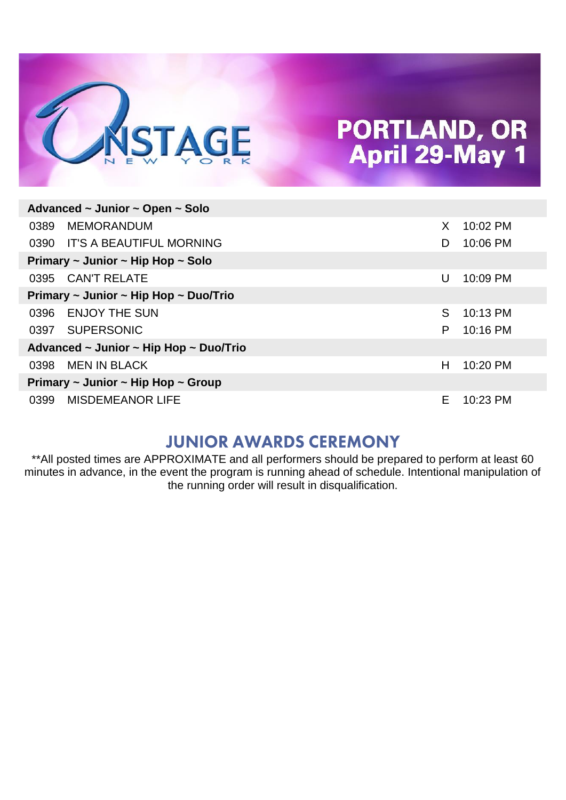

| Advanced ~ Junior ~ Open ~ Solo                   |                                                                                                                                                                                |          |  |  |  |  |
|---------------------------------------------------|--------------------------------------------------------------------------------------------------------------------------------------------------------------------------------|----------|--|--|--|--|
| <b>MEMORANDUM</b>                                 | X                                                                                                                                                                              | 10:02 PM |  |  |  |  |
|                                                   | D                                                                                                                                                                              | 10:06 PM |  |  |  |  |
|                                                   |                                                                                                                                                                                |          |  |  |  |  |
| <b>CAN'T RELATE</b>                               | U                                                                                                                                                                              | 10:09 PM |  |  |  |  |
|                                                   |                                                                                                                                                                                |          |  |  |  |  |
| <b>ENJOY THE SUN</b>                              | S.                                                                                                                                                                             | 10:13 PM |  |  |  |  |
| <b>SUPERSONIC</b>                                 | P                                                                                                                                                                              | 10:16 PM |  |  |  |  |
|                                                   |                                                                                                                                                                                |          |  |  |  |  |
| <b>MEN IN BLACK</b>                               | Н                                                                                                                                                                              | 10:20 PM |  |  |  |  |
| Primary $\sim$ Junior $\sim$ Hip Hop $\sim$ Group |                                                                                                                                                                                |          |  |  |  |  |
| <b>MISDEMEANOR LIFE</b>                           | Е                                                                                                                                                                              | 10:23 PM |  |  |  |  |
|                                                   | IT'S A BEAUTIFUL MORNING<br>Primary $\sim$ Junior $\sim$ Hip Hop $\sim$ Solo<br>Primary $\sim$ Junior $\sim$ Hip Hop $\sim$ Duo/Trio<br>Advanced ~ Junior ~ Hip Hop ~ Duo/Trio |          |  |  |  |  |

#### **JUNIOR AWARDS CEREMONY**

\*\*All posted times are APPROXIMATE and all performers should be prepared to perform at least 60 minutes in advance, in the event the program is running ahead of schedule. Intentional manipulation of the running order will result in disqualification.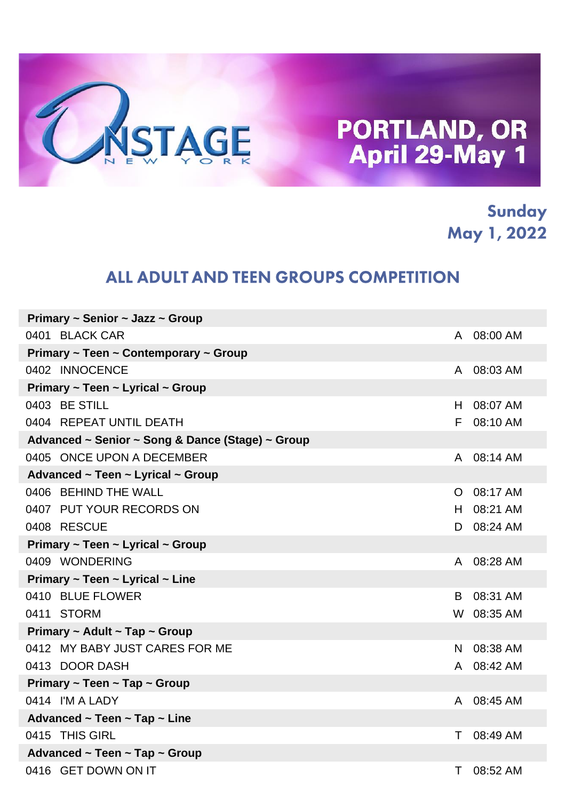

Sunday May 1, 2022

#### ALL ADULT AND TEEN GROUPS COMPETITION

| Primary $\sim$ Senior $\sim$ Jazz $\sim$ Group   |         |            |
|--------------------------------------------------|---------|------------|
| 0401 BLACK CAR                                   |         | A 08:00 AM |
| Primary ~ Teen ~ Contemporary ~ Group            |         |            |
| 0402 INNOCENCE                                   |         | A 08:03 AM |
| Primary $\sim$ Teen $\sim$ Lyrical $\sim$ Group  |         |            |
| 0403 BE STILL                                    | H.      | 08:07 AM   |
| 0404 REPEAT UNTIL DEATH                          | F.      | 08:10 AM   |
| Advanced ~ Senior ~ Song & Dance (Stage) ~ Group |         |            |
| 0405 ONCE UPON A DECEMBER                        |         | A 08:14 AM |
| Advanced ~ Teen ~ Lyrical ~ Group                |         |            |
| 0406 BEHIND THE WALL                             | $\circ$ | 08:17 AM   |
| 0407 PUT YOUR RECORDS ON                         | H.      | 08:21 AM   |
| 0408 RESCUE                                      | D       | 08:24 AM   |
| Primary ~ Teen ~ Lyrical ~ Group                 |         |            |
| 0409 WONDERING                                   | A       | 08:28 AM   |
| Primary $\sim$ Teen $\sim$ Lyrical $\sim$ Line   |         |            |
| 0410 BLUE FLOWER                                 | B.      | 08:31 AM   |
| 0411 STORM                                       |         | W 08:35 AM |
| Primary ~ Adult ~ Tap ~ Group                    |         |            |
| 0412 MY BABY JUST CARES FOR ME                   | N.      | 08:38 AM   |
| 0413 DOOR DASH                                   | A       | 08:42 AM   |
| Primary $\sim$ Teen $\sim$ Tap $\sim$ Group      |         |            |
| 0414 I'M A LADY                                  | A       | 08:45 AM   |
| Advanced ~ Teen ~ Tap ~ Line                     |         |            |
| 0415 THIS GIRL                                   | T.      | 08:49 AM   |
| Advanced ~ Teen ~ Tap ~ Group                    |         |            |
| 0416 GET DOWN ON IT                              | T.      | 08:52 AM   |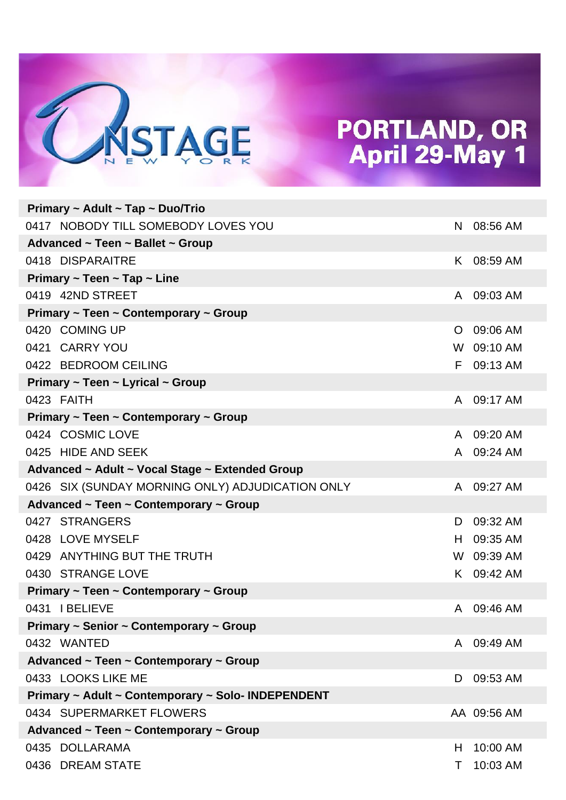

| Primary ~ Adult ~ Tap ~ Duo/Trio                   |    |             |
|----------------------------------------------------|----|-------------|
| 0417 NOBODY TILL SOMEBODY LOVES YOU                | N  | 08:56 AM    |
| Advanced ~ Teen ~ Ballet ~ Group                   |    |             |
| 0418 DISPARAITRE                                   | K. | 08:59 AM    |
| Primary $\sim$ Teen $\sim$ Tap $\sim$ Line         |    |             |
| 0419 42ND STREET                                   | A  | 09:03 AM    |
| Primary ~ Teen ~ Contemporary ~ Group              |    |             |
| 0420 COMING UP                                     | O  | 09:06 AM    |
| 0421 CARRY YOU                                     |    | W 09:10 AM  |
| 0422 BEDROOM CEILING                               | F  | 09:13 AM    |
| Primary ~ Teen ~ Lyrical ~ Group                   |    |             |
| 0423 FAITH                                         | A  | 09:17 AM    |
| Primary ~ Teen ~ Contemporary ~ Group              |    |             |
| 0424 COSMIC LOVE                                   | A  | 09:20 AM    |
| 0425 HIDE AND SEEK                                 | A  | 09:24 AM    |
| Advanced ~ Adult ~ Vocal Stage ~ Extended Group    |    |             |
| 0426 SIX (SUNDAY MORNING ONLY) ADJUDICATION ONLY   | A  | 09:27 AM    |
| Advanced ~ Teen ~ Contemporary ~ Group             |    |             |
| 0427 STRANGERS                                     | D  | 09:32 AM    |
| 0428 LOVE MYSELF                                   | H. | 09:35 AM    |
| 0429 ANYTHING BUT THE TRUTH                        |    | W 09:39 AM  |
| 0430 STRANGE LOVE                                  |    | K 09:42 AM  |
| Primary ~ Teen ~ Contemporary ~ Group              |    |             |
| 0431 I BELIEVE                                     | A  | 09:46 AM    |
| Primary ~ Senior ~ Contemporary ~ Group            |    |             |
| 0432 WANTED                                        | A  | 09:49 AM    |
| Advanced ~ Teen ~ Contemporary ~ Group             |    |             |
| 0433 LOOKS LIKE ME                                 | D  | 09:53 AM    |
| Primary ~ Adult ~ Contemporary ~ Solo- INDEPENDENT |    |             |
| 0434 SUPERMARKET FLOWERS                           |    | AA 09:56 AM |
| Advanced ~ Teen ~ Contemporary ~ Group             |    |             |
| 0435 DOLLARAMA                                     | H  | 10:00 AM    |
| 0436 DREAM STATE                                   | Τ  | 10:03 AM    |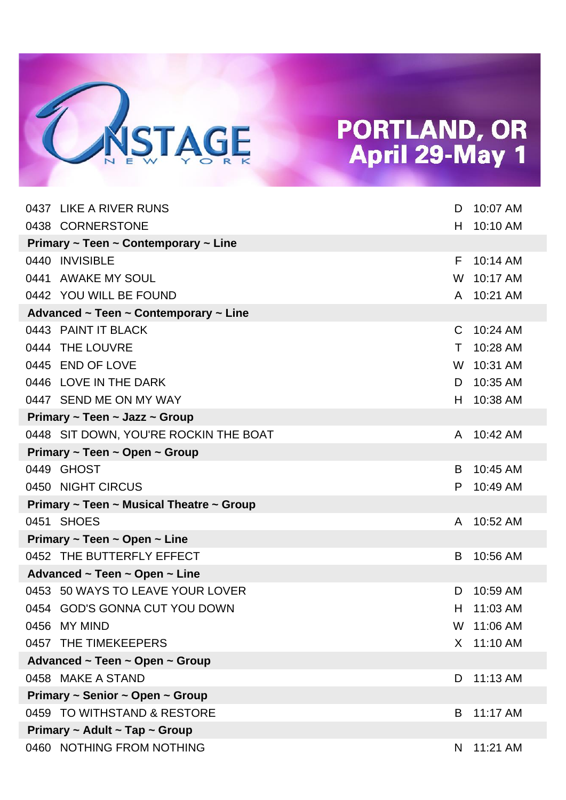

| 0437 LIKE A RIVER RUNS                       | D  | 10:07 AM   |
|----------------------------------------------|----|------------|
| 0438 CORNERSTONE                             | H  | 10:10 AM   |
| Primary ~ Teen ~ Contemporary ~ Line         |    |            |
| 0440 INVISIBLE                               | F  | 10:14 AM   |
| 0441 AWAKE MY SOUL                           | W  | 10:17 AM   |
| 0442 YOU WILL BE FOUND                       | A  | 10:21 AM   |
| Advanced ~ Teen ~ Contemporary ~ Line        |    |            |
| 0443 PAINT IT BLACK                          | C  | 10:24 AM   |
| 0444 THE LOUVRE                              | T. | 10:28 AM   |
| 0445 END OF LOVE                             | W  | 10:31 AM   |
| 0446 LOVE IN THE DARK                        | D  | 10:35 AM   |
| 0447 SEND ME ON MY WAY                       | H  | 10:38 AM   |
| Primary ~ Teen ~ Jazz ~ Group                |    |            |
| 0448 SIT DOWN, YOU'RE ROCKIN THE BOAT        | A  | 10:42 AM   |
| Primary ~ Teen ~ Open ~ Group                |    |            |
| 0449 GHOST                                   | B  | 10:45 AM   |
| 0450 NIGHT CIRCUS                            | P  | 10:49 AM   |
| Primary ~ Teen ~ Musical Theatre ~ Group     |    |            |
| 0451 SHOES                                   | A  | 10:52 AM   |
| Primary $\sim$ Teen $\sim$ Open $\sim$ Line  |    |            |
| 0452 THE BUTTERFLY EFFECT                    | B  | 10:56 AM   |
| Advanced $\sim$ Teen $\sim$ Open $\sim$ Line |    |            |
| 0453 50 WAYS TO LEAVE YOUR LOVER             | D  | 10:59 AM   |
| 0454 GOD'S GONNA CUT YOU DOWN                | H  | 11:03 AM   |
| 0456 MY MIND                                 |    | W 11:06 AM |
| 0457 THE TIMEKEEPERS                         |    | X 11:10 AM |
| Advanced ~ Teen ~ Open ~ Group               |    |            |
| 0458 MAKE A STAND                            | D  | 11:13 AM   |
| Primary ~ Senior ~ Open ~ Group              |    |            |
| 0459 TO WITHSTAND & RESTORE                  | B  | 11:17 AM   |
| Primary $\sim$ Adult $\sim$ Tap $\sim$ Group |    |            |
| 0460 NOTHING FROM NOTHING                    | N  | 11:21 AM   |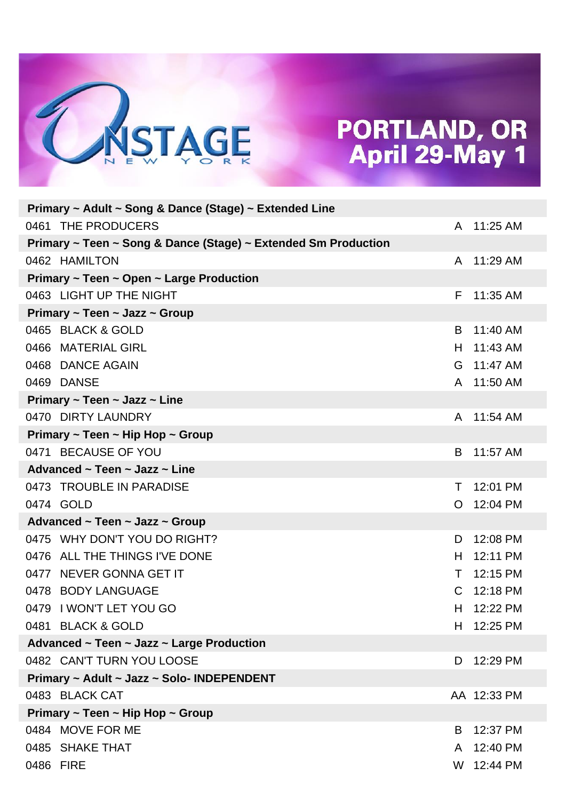

|           | Primary ~ Adult ~ Song & Dance (Stage) ~ Extended Line         |              |             |
|-----------|----------------------------------------------------------------|--------------|-------------|
|           | 0461 THE PRODUCERS                                             | A            | 11:25 AM    |
|           | Primary ~ Teen ~ Song & Dance (Stage) ~ Extended Sm Production |              |             |
|           | 0462 HAMILTON                                                  | $\mathsf{A}$ | 11:29 AM    |
|           | Primary $\sim$ Teen $\sim$ Open $\sim$ Large Production        |              |             |
|           | 0463 LIGHT UP THE NIGHT                                        | F            | 11:35 AM    |
|           | Primary $\sim$ Teen $\sim$ Jazz $\sim$ Group                   |              |             |
|           | 0465 BLACK & GOLD                                              | B            | 11:40 AM    |
|           | 0466 MATERIAL GIRL                                             | H.           | 11:43 AM    |
|           | 0468 DANCE AGAIN                                               | G            | 11:47 AM    |
|           | 0469 DANSE                                                     | A            | 11:50 AM    |
|           | Primary $\sim$ Teen $\sim$ Jazz $\sim$ Line                    |              |             |
|           | 0470 DIRTY LAUNDRY                                             | A            | 11:54 AM    |
|           | Primary $\sim$ Teen $\sim$ Hip Hop $\sim$ Group                |              |             |
|           | 0471 BECAUSE OF YOU                                            | B            | 11:57 AM    |
|           | Advanced $\sim$ Teen $\sim$ Jazz $\sim$ Line                   |              |             |
|           | 0473 TROUBLE IN PARADISE                                       | Τ            | 12:01 PM    |
|           | 0474 GOLD                                                      | O            | 12:04 PM    |
|           | Advanced ~ Teen ~ Jazz ~ Group                                 |              |             |
|           | 0475 WHY DON'T YOU DO RIGHT?                                   | D            | 12:08 PM    |
|           | 0476 ALL THE THINGS I'VE DONE                                  | H            | 12:11 PM    |
|           | 0477 NEVER GONNA GET IT                                        | Τ            | 12:15 PM    |
|           | 0478 BODY LANGUAGE                                             | C            | 12:18 PM    |
|           | 0479 I WON'T LET YOU GO                                        | H            | 12:22 PM    |
|           | 0481 BLACK & GOLD                                              | H.           | 12:25 PM    |
|           | Advanced ~ Teen ~ Jazz ~ Large Production                      |              |             |
|           | 0482 CAN'T TURN YOU LOOSE                                      | D            | 12:29 PM    |
|           | Primary ~ Adult ~ Jazz ~ Solo- INDEPENDENT                     |              |             |
|           | 0483 BLACK CAT                                                 |              | AA 12:33 PM |
|           | Primary ~ Teen ~ Hip Hop ~ Group                               |              |             |
|           | 0484 MOVE FOR ME                                               | B            | 12:37 PM    |
|           | 0485 SHAKE THAT                                                | A            | 12:40 PM    |
| 0486 FIRE |                                                                | W            | 12:44 PM    |
|           |                                                                |              |             |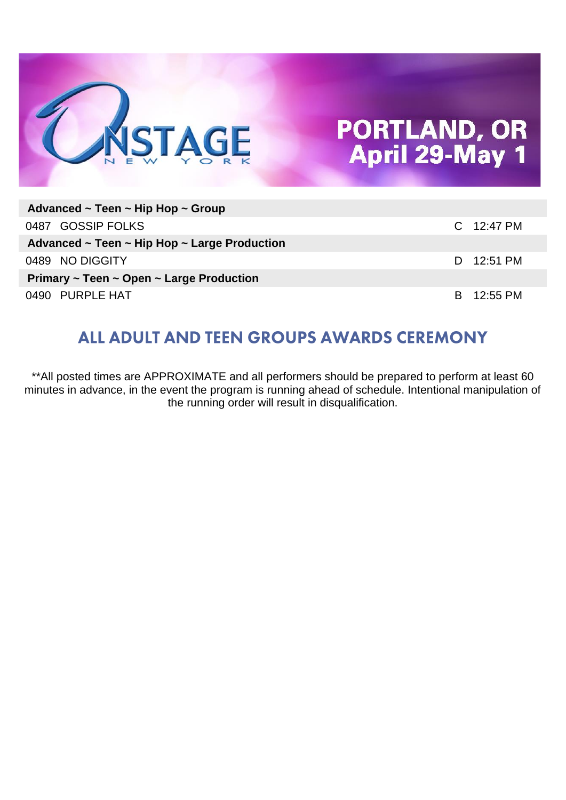

| Advanced ~ Teen ~ Hip Hop ~ Group                           |  |              |  |  |
|-------------------------------------------------------------|--|--------------|--|--|
| 0487 GOSSIP FOLKS                                           |  | $C$ 12:47 PM |  |  |
| Advanced $\sim$ Teen $\sim$ Hip Hop $\sim$ Large Production |  |              |  |  |
| 0489 NO DIGGITY                                             |  | D 12:51 PM   |  |  |
| Primary $\sim$ Teen $\sim$ Open $\sim$ Large Production     |  |              |  |  |
| 0490 PURPLE HAT                                             |  | B 12:55 PM   |  |  |

#### ALL ADULT AND TEEN GROUPS AWARDS CEREMONY

\*\*All posted times are APPROXIMATE and all performers should be prepared to perform at least 60 minutes in advance, in the event the program is running ahead of schedule. Intentional manipulation of the running order will result in disqualification.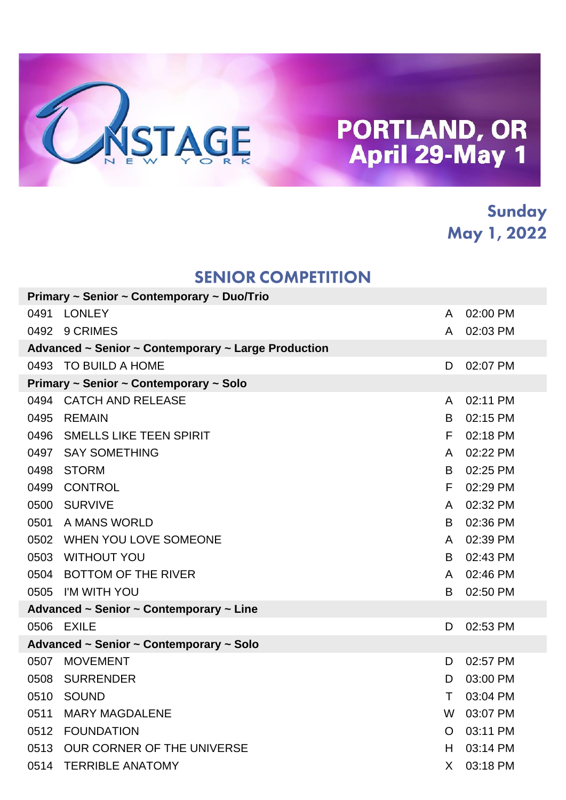

#### Sunday May 1, 2022

#### **SENIOR COMPETITION**

|      | Primary ~ Senior ~ Contemporary ~ Duo/Trio          |              |          |
|------|-----------------------------------------------------|--------------|----------|
| 0491 | <b>LONLEY</b>                                       | A            | 02:00 PM |
|      | 0492 9 CRIMES                                       | A            | 02:03 PM |
|      | Advanced ~ Senior ~ Contemporary ~ Large Production |              |          |
|      | 0493 TO BUILD A HOME                                | D            | 02:07 PM |
|      | Primary ~ Senior ~ Contemporary ~ Solo              |              |          |
|      | 0494 CATCH AND RELEASE                              | A            | 02:11 PM |
| 0495 | <b>REMAIN</b>                                       | B            | 02:15 PM |
| 0496 | <b>SMELLS LIKE TEEN SPIRIT</b>                      | F            | 02:18 PM |
| 0497 | <b>SAY SOMETHING</b>                                | A            | 02:22 PM |
| 0498 | <b>STORM</b>                                        | B            | 02:25 PM |
| 0499 | <b>CONTROL</b>                                      | F            | 02:29 PM |
| 0500 | <b>SURVIVE</b>                                      | A            | 02:32 PM |
| 0501 | A MANS WORLD                                        | B            | 02:36 PM |
|      | 0502 WHEN YOU LOVE SOMEONE                          | A            | 02:39 PM |
| 0503 | <b>WITHOUT YOU</b>                                  | B            | 02:43 PM |
|      | 0504 BOTTOM OF THE RIVER                            | A            | 02:46 PM |
|      | 0505 I'M WITH YOU                                   | B            | 02:50 PM |
|      | Advanced ~ Senior ~ Contemporary ~ Line             |              |          |
|      | 0506 EXILE                                          | D            | 02:53 PM |
|      | Advanced ~ Senior ~ Contemporary ~ Solo             |              |          |
| 0507 | <b>MOVEMENT</b>                                     | D.           | 02:57 PM |
| 0508 | <b>SURRENDER</b>                                    | D            | 03:00 PM |
| 0510 | SOUND                                               | T            | 03:04 PM |
| 0511 | <b>MARY MAGDALENE</b>                               | W            | 03:07 PM |
|      | 0512 FOUNDATION                                     | O            | 03:11 PM |
| 0513 | OUR CORNER OF THE UNIVERSE                          | н            | 03:14 PM |
| 0514 | <b>TERRIBLE ANATOMY</b>                             | $\mathsf{X}$ | 03:18 PM |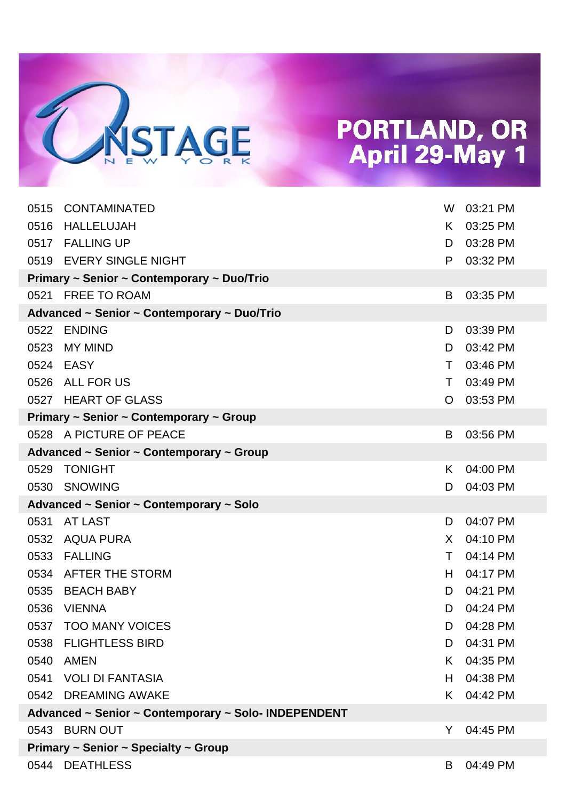

| 0515                                                 | CONTAMINATED                                | W  | 03:21 PM   |
|------------------------------------------------------|---------------------------------------------|----|------------|
| 0516                                                 | <b>HALLELUJAH</b>                           | K. | 03:25 PM   |
|                                                      | 0517 FALLING UP                             | D  | 03:28 PM   |
|                                                      | 0519 EVERY SINGLE NIGHT                     | P  | 03:32 PM   |
|                                                      | Primary ~ Senior ~ Contemporary ~ Duo/Trio  |    |            |
| 0521                                                 | <b>FREE TO ROAM</b>                         | B  | 03:35 PM   |
|                                                      | Advanced ~ Senior ~ Contemporary ~ Duo/Trio |    |            |
| 0522                                                 | <b>ENDING</b>                               | D  | 03:39 PM   |
| 0523                                                 | <b>MY MIND</b>                              | D  | 03:42 PM   |
|                                                      | 0524 EASY                                   | T. | 03:46 PM   |
|                                                      | 0526 ALL FOR US                             | T. | 03:49 PM   |
|                                                      | 0527 HEART OF GLASS                         | O  | 03:53 PM   |
|                                                      | Primary ~ Senior ~ Contemporary ~ Group     |    |            |
|                                                      | 0528 A PICTURE OF PEACE                     | B  | 03:56 PM   |
|                                                      | Advanced ~ Senior ~ Contemporary ~ Group    |    |            |
| 0529                                                 | <b>TONIGHT</b>                              | K. | 04:00 PM   |
| 0530                                                 | <b>SNOWING</b>                              | D  | 04:03 PM   |
|                                                      | Advanced ~ Senior ~ Contemporary ~ Solo     |    |            |
| 0531                                                 | <b>AT LAST</b>                              | D  | 04:07 PM   |
|                                                      | 0532 AQUA PURA                              | X. | 04:10 PM   |
| 0533                                                 | <b>FALLING</b>                              | T. | 04:14 PM   |
|                                                      | 0534 AFTER THE STORM                        | H. | 04:17 PM   |
|                                                      | 0535 BEACH BABY                             | D  | 04:21 PM   |
| 0536                                                 | <b>VIENNA</b>                               | D. | 04:24 PM   |
|                                                      | 0537 TOO MANY VOICES                        |    | D 04:28 PM |
|                                                      | 0538 FLIGHTLESS BIRD                        | D  | 04:31 PM   |
|                                                      | 0540 AMEN                                   | K. | 04:35 PM   |
|                                                      | 0541 VOLI DI FANTASIA                       | H. | 04:38 PM   |
|                                                      | 0542 DREAMING AWAKE                         | K. | 04:42 PM   |
| Advanced ~ Senior ~ Contemporary ~ Solo- INDEPENDENT |                                             |    |            |
|                                                      | 0543 BURN OUT                               | Y  | 04:45 PM   |
| Primary $\sim$ Senior $\sim$ Specialty $\sim$ Group  |                                             |    |            |
|                                                      | 0544 DEATHLESS                              | B. | 04:49 PM   |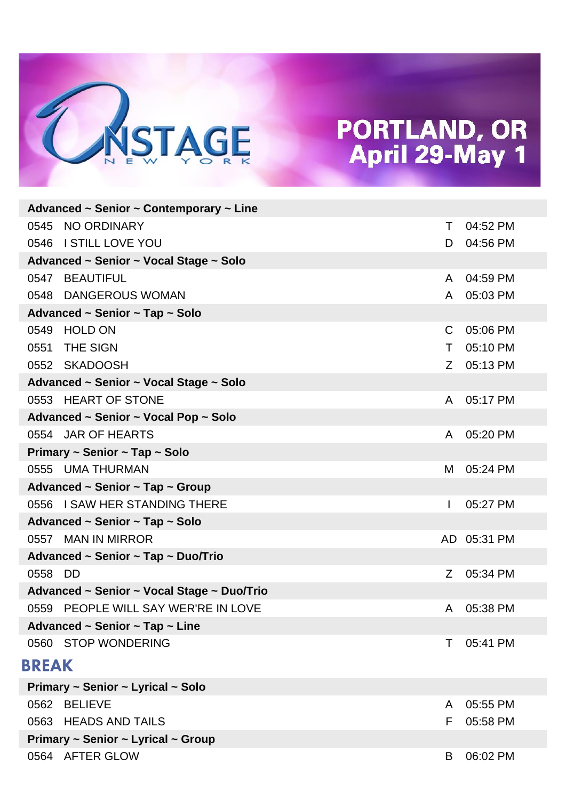

|                                    | Advanced ~ Senior ~ Contemporary ~ Line       |              |             |
|------------------------------------|-----------------------------------------------|--------------|-------------|
|                                    | 0545 NO ORDINARY                              | Τ            | 04:52 PM    |
|                                    | 0546 I STILL LOVE YOU                         | D            | 04:56 PM    |
|                                    | Advanced ~ Senior ~ Vocal Stage ~ Solo        |              |             |
|                                    | 0547 BEAUTIFUL                                | $\mathsf{A}$ | 04:59 PM    |
|                                    | 0548 DANGEROUS WOMAN                          | $\mathsf{A}$ | 05:03 PM    |
|                                    | Advanced ~ Senior ~ Tap ~ Solo                |              |             |
| 0549                               | <b>HOLD ON</b>                                | C            | 05:06 PM    |
| 0551                               | <b>THE SIGN</b>                               | T.           | 05:10 PM    |
|                                    | 0552 SKADOOSH                                 | Z.           | 05:13 PM    |
|                                    | Advanced ~ Senior ~ Vocal Stage ~ Solo        |              |             |
|                                    | 0553 HEART OF STONE                           | $\mathsf{A}$ | 05:17 PM    |
|                                    | Advanced ~ Senior ~ Vocal Pop ~ Solo          |              |             |
|                                    | 0554 JAR OF HEARTS                            | A            | 05:20 PM    |
|                                    | Primary ~ Senior ~ Tap ~ Solo                 |              |             |
|                                    | 0555 UMA THURMAN                              | M            | 05:24 PM    |
|                                    | Advanced ~ Senior ~ Tap ~ Group               |              |             |
|                                    | 0556 I SAW HER STANDING THERE                 | $\mathbf{L}$ | 05:27 PM    |
|                                    | Advanced ~ Senior ~ Tap ~ Solo                |              |             |
|                                    | 0557 MAN IN MIRROR                            |              | AD 05:31 PM |
|                                    | Advanced ~ Senior ~ Tap ~ Duo/Trio            |              |             |
| 0558 DD                            |                                               | Z            | 05:34 PM    |
|                                    | Advanced ~ Senior ~ Vocal Stage ~ Duo/Trio    |              |             |
|                                    | 0559 PEOPLE WILL SAY WER'RE IN LOVE           | A            | 05:38 PM    |
|                                    | Advanced $\sim$ Senior $\sim$ Tap $\sim$ Line |              |             |
|                                    | 0560 STOP WONDERING                           | Т            | 05:41 PM    |
| <b>BREAK</b>                       |                                               |              |             |
|                                    | Primary ~ Senior ~ Lyrical ~ Solo             |              |             |
| 0562                               | <b>BELIEVE</b>                                | A            | 05:55 PM    |
|                                    | 0563 HEADS AND TAILS                          | F            | 05:58 PM    |
| Primary ~ Senior ~ Lyrical ~ Group |                                               |              |             |
|                                    | 0564 AFTER GLOW                               | B            | 06:02 PM    |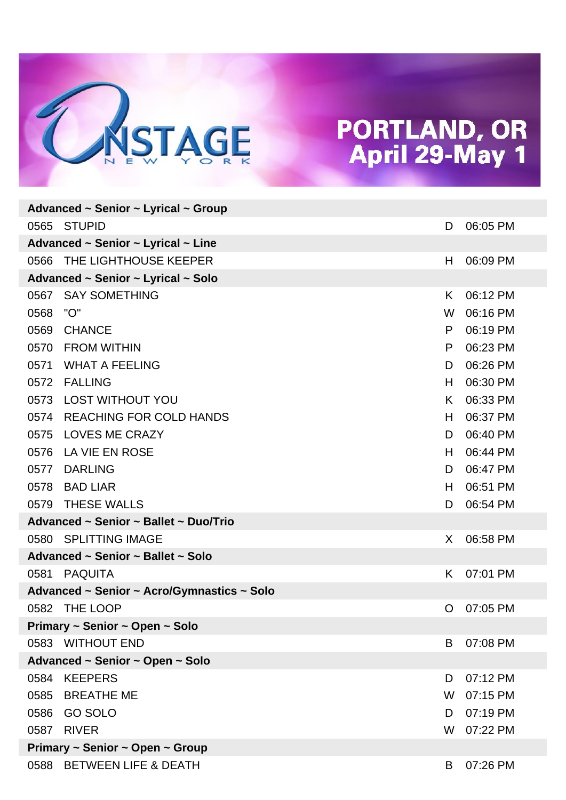

| Advanced ~ Senior ~ Lyrical ~ Group            |                                            |    |          |  |
|------------------------------------------------|--------------------------------------------|----|----------|--|
|                                                | 0565 STUPID                                | D  | 06:05 PM |  |
|                                                | Advanced ~ Senior ~ Lyrical ~ Line         |    |          |  |
| 0566                                           | THE LIGHTHOUSE KEEPER                      | H  | 06:09 PM |  |
|                                                | Advanced ~ Senior ~ Lyrical ~ Solo         |    |          |  |
| 0567                                           | <b>SAY SOMETHING</b>                       | K  | 06:12 PM |  |
| 0568                                           | "O"                                        | W  | 06:16 PM |  |
| 0569                                           | <b>CHANCE</b>                              | P  | 06:19 PM |  |
|                                                | 0570 FROM WITHIN                           | P  | 06:23 PM |  |
| 0571                                           | <b>WHAT A FEELING</b>                      | D  | 06:26 PM |  |
|                                                | 0572 FALLING                               | H  | 06:30 PM |  |
| 0573                                           | <b>LOST WITHOUT YOU</b>                    | K  | 06:33 PM |  |
| 0574                                           | <b>REACHING FOR COLD HANDS</b>             | H. | 06:37 PM |  |
| 0575                                           | <b>LOVES ME CRAZY</b>                      | D  | 06:40 PM |  |
| 0576                                           | LA VIE EN ROSE                             | H. | 06:44 PM |  |
| 0577                                           | <b>DARLING</b>                             | D  | 06:47 PM |  |
| 0578                                           | <b>BAD LIAR</b>                            | H  | 06:51 PM |  |
| 0579                                           | <b>THESE WALLS</b>                         | D  | 06:54 PM |  |
|                                                | Advanced ~ Senior ~ Ballet ~ Duo/Trio      |    |          |  |
|                                                | 0580 SPLITTING IMAGE                       | X  | 06:58 PM |  |
|                                                | Advanced ~ Senior ~ Ballet ~ Solo          |    |          |  |
|                                                | 0581 PAQUITA                               | K  | 07:01 PM |  |
|                                                | Advanced ~ Senior ~ Acro/Gymnastics ~ Solo |    |          |  |
| 0582                                           | THE LOOP                                   | O  | 07:05 PM |  |
| Primary ~ Senior ~ Open ~ Solo                 |                                            |    |          |  |
|                                                | 0583 WITHOUT END                           | B  | 07:08 PM |  |
| Advanced ~ Senior ~ Open ~ Solo                |                                            |    |          |  |
| 0584                                           | <b>KEEPERS</b>                             | D  | 07:12 PM |  |
|                                                | 0585 BREATHE ME                            | W  | 07:15 PM |  |
| 0586                                           | <b>GO SOLO</b>                             | D  | 07:19 PM |  |
| 0587                                           | <b>RIVER</b>                               | W  | 07:22 PM |  |
| Primary $\sim$ Senior $\sim$ Open $\sim$ Group |                                            |    |          |  |
|                                                | 0588 BETWEEN LIFE & DEATH                  | B  | 07:26 PM |  |